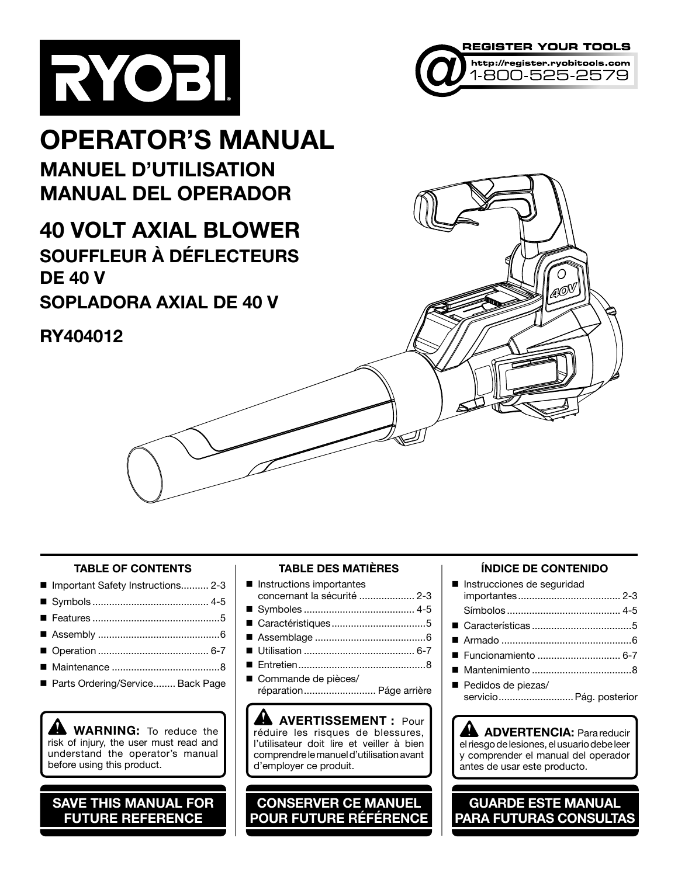



### **OPERATOR'S MANUAL MANUEL D'UTILISATION MANUAL DEL OPERADOR**

**40 VOLT AXIAL BLOWER SOUFFLEUR À DÉFLECTEURS DE 40 V SOPLADORA AXIAL DE 40 V**

### **RY404012**

#### **TABLE OF CONTENTS**

- Important Safety Instructions.......... 2-3 Symbols .......................................... 4-5
- 
- Features ..............................................5
- Assembly ............................................6
- Operation ........................................ 6-7
- Maintenance .......................................8
- Parts Ordering/Service........ Back Page

**WARNING:** To reduce the risk of injury, the user must read and understand the operator's manual before using this product.

**SAVE THIS MANUAL FOR FUTURE REFERENCE**

#### **TABLE DES MATIÈRES**

- **n** Instructions importantes concernant la sécurité .................... 2-3
- Symboles ........................................ 4-5
- Caractéristiques..................................5
- Assemblage ........................................6
- Utilisation ........................................ 6-7
- Entretien..............................................8
- Commande de pièces/ réparation.......................... Páge arrière

**AVERTISSEMENT :** Pour réduire les risques de blessures, l'utilisateur doit lire et veiller à bien comprendre le manuel d'utilisation avant d'employer ce produit.

**CONSERVER CE MANUEL POUR FUTURE RÉFÉRENCE**

#### **ÍNDICE DE CONTENIDO**

Ω AO

| Instrucciones de seguridad                    |  |
|-----------------------------------------------|--|
|                                               |  |
|                                               |  |
|                                               |  |
|                                               |  |
|                                               |  |
|                                               |  |
| Pedidos de piezas/<br>servicio Pág. posterior |  |

**ADVERTENCIA:** Para reducir el riesgo de lesiones, el usuario debe leer y comprender el manual del operador antes de usar este producto.

**GUARDE ESTE MANUAL PARA FUTURAS CONSULTAS**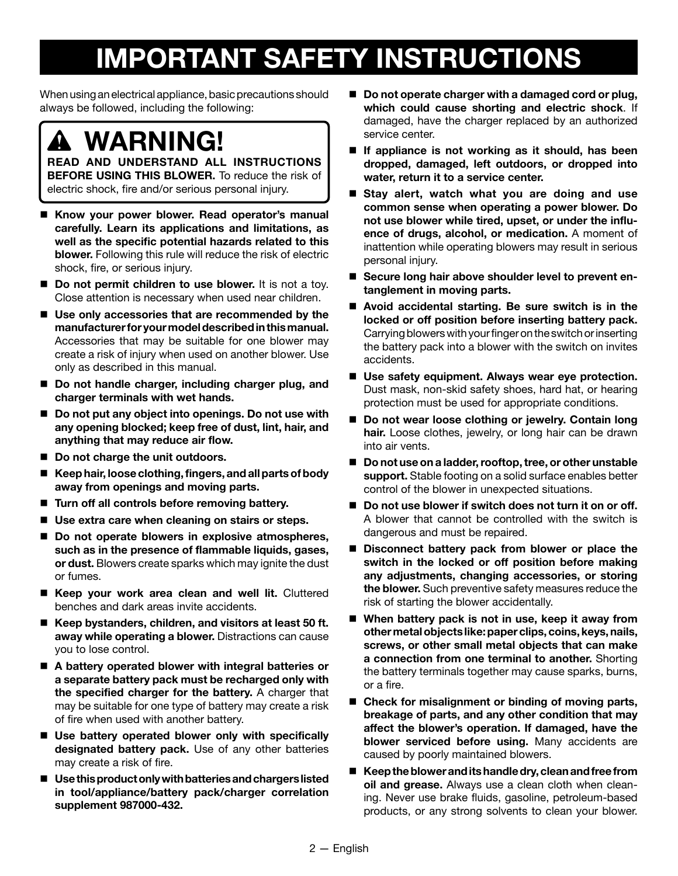## **IMPORTANT SAFETY INSTRUCTIONS**

When using an electrical appliance, basic precautions should always be followed, including the following:

**WARNING!**

**READ AND UNDERSTAND ALL INSTRUCTIONS BEFORE USING THIS BLOWER.** To reduce the risk of electric shock, fire and/or serious personal injury.

- **Know your power blower. Read operator's manual carefully. Learn its applications and limitations, as well as the specific potential hazards related to this blower.** Following this rule will reduce the risk of electric shock, fire, or serious injury.
- **Do not permit children to use blower.** It is not a toy. Close attention is necessary when used near children.
- Use only accessories that are recommended by the **manufacturer for your model described in this manual.** Accessories that may be suitable for one blower may create a risk of injury when used on another blower. Use only as described in this manual.
- Do not handle charger, including charger plug, and **charger terminals with wet hands.**
- Do not put any object into openings. Do not use with **any opening blocked; keep free of dust, lint, hair, and anything that may reduce air flow.**
- Do not charge the unit outdoors.
- **Keep hair, loose clothing, fingers, and all parts of body away from openings and moving parts.**
- **Turn off all controls before removing battery.**
- Use extra care when cleaning on stairs or steps.
- Do not operate blowers in explosive atmospheres, **such as in the presence of flammable liquids, gases, or dust.** Blowers create sparks which may ignite the dust or fumes.
- **Keep your work area clean and well lit.** Cluttered benches and dark areas invite accidents.
- Keep bystanders, children, and visitors at least 50 ft. **away while operating a blower.** Distractions can cause you to lose control.
- **A battery operated blower with integral batteries or a separate battery pack must be recharged only with the specified charger for the battery.** A charger that may be suitable for one type of battery may create a risk of fire when used with another battery.
- **Use battery operated blower only with specifically designated battery pack.** Use of any other batteries may create a risk of fire.
- **Use this product only with batteries and chargers listed in tool/appliance/battery pack/charger correlation supplement 987000-432.**
- Do not operate charger with a damaged cord or plug, **which could cause shorting and electric shock**. If damaged, have the charger replaced by an authorized service center.
- **If appliance is not working as it should, has been dropped, damaged, left outdoors, or dropped into water, return it to a service center.**
- **Stay alert, watch what you are doing and use common sense when operating a power blower. Do not use blower while tired, upset, or under the influence of drugs, alcohol, or medication.** A moment of inattention while operating blowers may result in serious personal injury.
- Secure long hair above shoulder level to prevent en**tanglement in moving parts.**
- Avoid accidental starting. Be sure switch is in the **locked or off position before inserting battery pack.**  Carrying blowers with your finger on the switch or inserting the battery pack into a blower with the switch on invites accidents.
- **Use safety equipment. Always wear eye protection.** Dust mask, non-skid safety shoes, hard hat, or hearing protection must be used for appropriate conditions.
- Do not wear loose clothing or jewelry. Contain long **hair.** Loose clothes, jewelry, or long hair can be drawn into air vents.
- **Do not use on a ladder, rooftop, tree, or other unstable support.** Stable footing on a solid surface enables better control of the blower in unexpected situations.
- Do not use blower if switch does not turn it on or off. A blower that cannot be controlled with the switch is dangerous and must be repaired.
- **Disconnect battery pack from blower or place the switch in the locked or off position before making any adjustments, changing accessories, or storing the blower.** Such preventive safety measures reduce the risk of starting the blower accidentally.
- When battery pack is not in use, keep it away from **other metal objects like: paper clips, coins, keys, nails, screws, or other small metal objects that can make a connection from one terminal to another.** Shorting the battery terminals together may cause sparks, burns, or a fire.
- Check for misalignment or binding of moving parts, **breakage of parts, and any other condition that may affect the blower's operation. If damaged, have the blower serviced before using.** Many accidents are caused by poorly maintained blowers.
- **Keep the blower and its handle dry, clean and free from oil and grease.** Always use a clean cloth when cleaning. Never use brake fluids, gasoline, petroleum-based products, or any strong solvents to clean your blower.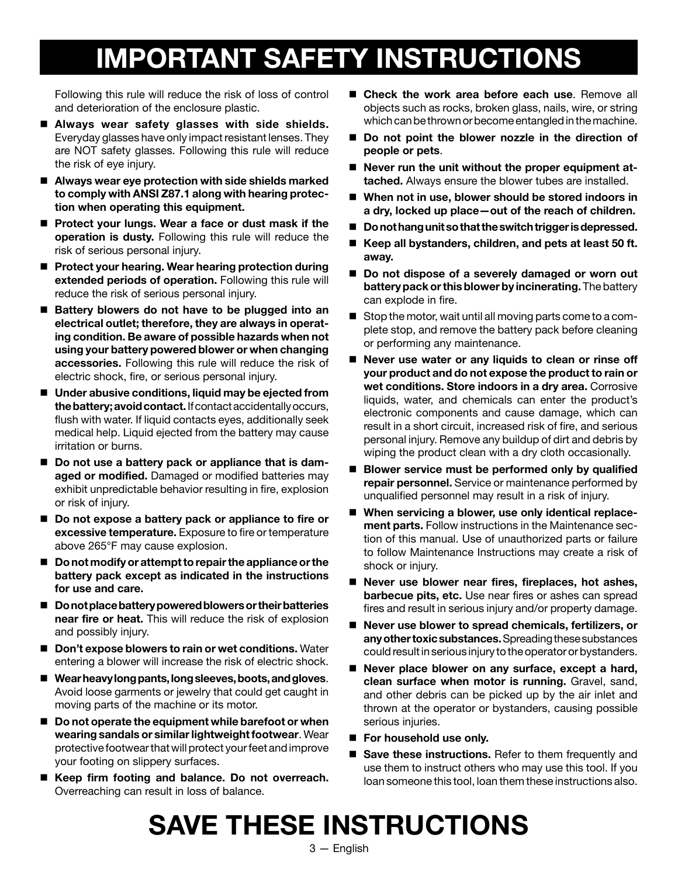## **IMPORTANT SAFETY INSTRUCTIONS**

Following this rule will reduce the risk of loss of control and deterioration of the enclosure plastic.

- **Always wear safety glasses with side shields.** Everyday glasses have only impact resistant lenses. They are NOT safety glasses. Following this rule will reduce the risk of eye injury.
- Always wear eye protection with side shields marked **to comply with ANSI Z87.1 along with hearing protection when operating this equipment.**
- Protect your lungs. Wear a face or dust mask if the **operation is dusty.** Following this rule will reduce the risk of serious personal injury.
- Protect your hearing. Wear hearing protection during **extended periods of operation.** Following this rule will reduce the risk of serious personal injury.
- Battery blowers do not have to be plugged into an **electrical outlet; therefore, they are always in operating condition. Be aware of possible hazards when not using your battery powered blower or when changing accessories.** Following this rule will reduce the risk of electric shock, fire, or serious personal injury.
- Under abusive conditions, liquid may be ejected from **the battery; avoid contact.** If contact accidentally occurs, flush with water. If liquid contacts eyes, additionally seek medical help. Liquid ejected from the battery may cause irritation or burns.
- Do not use a battery pack or appliance that is dam**aged or modified.** Damaged or modified batteries may exhibit unpredictable behavior resulting in fire, explosion or risk of injury.
- Do not expose a battery pack or appliance to fire or **excessive temperature.** Exposure to fire or temperature above 265°F may cause explosion.
- **Do not modify or attempt to repair the appliance or the battery pack except as indicated in the instructions for use and care.**
- **Do not place battery powered blowers or their batteries near fire or heat.** This will reduce the risk of explosion and possibly injury.
- **Don't expose blowers to rain or wet conditions.** Water entering a blower will increase the risk of electric shock.
- **Wear heavy long pants, long sleeves, boots, and gloves**. Avoid loose garments or jewelry that could get caught in moving parts of the machine or its motor.
- Do not operate the equipment while barefoot or when **wearing sandals or similar lightweight footwear**. Wear protective footwear that will protect your feet and improve your footing on slippery surfaces.
- **Keep firm footing and balance. Do not overreach.** Overreaching can result in loss of balance.
- Check the work area before each use. Remove all objects such as rocks, broken glass, nails, wire, or string which can be thrown or become entangled in the machine.
- Do not point the blower nozzle in the direction of **people or pets**.
- Never run the unit without the proper equipment at**tached.** Always ensure the blower tubes are installed.
- When not in use, blower should be stored indoors in **a dry, locked up place—out of the reach of children.**
- Do not hang unit so that the switch trigger is depressed.
- Keep all bystanders, children, and pets at least 50 ft. **away.**
- Do not dispose of a severely damaged or worn out **battery pack or this blower by incinerating.** The battery can explode in fire.
- Stop the motor, wait until all moving parts come to a complete stop, and remove the battery pack before cleaning or performing any maintenance.
- Never use water or any liquids to clean or rinse off **your product and do not expose the product to rain or wet conditions. Store indoors in a dry area.** Corrosive liquids, water, and chemicals can enter the product's electronic components and cause damage, which can result in a short circuit, increased risk of fire, and serious personal injury. Remove any buildup of dirt and debris by wiping the product clean with a dry cloth occasionally.
- **Blower service must be performed only by qualified repair personnel.** Service or maintenance performed by unqualified personnel may result in a risk of injury.
- **When servicing a blower, use only identical replacement parts.** Follow instructions in the Maintenance section of this manual. Use of unauthorized parts or failure to follow Maintenance Instructions may create a risk of shock or injury.
- Never use blower near fires, fireplaces, hot ashes, **barbecue pits, etc.** Use near fires or ashes can spread fires and result in serious injury and/or property damage.
- Never use blower to spread chemicals, fertilizers, or **any other toxic substances.** Spreading these substances could result in serious injury to the operator or bystanders.
- Never place blower on any surface, except a hard, **clean surface when motor is running.** Gravel, sand, and other debris can be picked up by the air inlet and thrown at the operator or bystanders, causing possible serious injuries.
- For household use only.
- Save these instructions. Refer to them frequently and use them to instruct others who may use this tool. If you loan someone this tool, loan them these instructions also.

## **SAVE THESE INSTRUCTIONS**

3 — English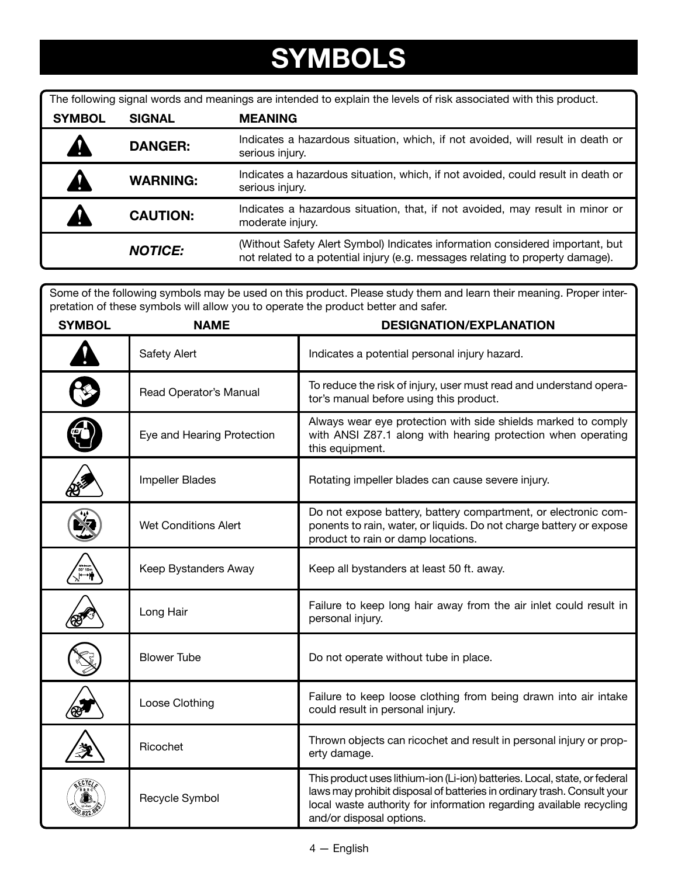## **SYMBOLS**

| The following signal words and meanings are intended to explain the levels of risk associated with this product. |                 |                                                                                                                                                                 |  |
|------------------------------------------------------------------------------------------------------------------|-----------------|-----------------------------------------------------------------------------------------------------------------------------------------------------------------|--|
| <b>SYMBOL</b>                                                                                                    | <b>SIGNAL</b>   | <b>MEANING</b>                                                                                                                                                  |  |
|                                                                                                                  | <b>DANGER:</b>  | Indicates a hazardous situation, which, if not avoided, will result in death or<br>serious injury.                                                              |  |
|                                                                                                                  | <b>WARNING:</b> | Indicates a hazardous situation, which, if not avoided, could result in death or<br>serious injury.                                                             |  |
|                                                                                                                  | <b>CAUTION:</b> | Indicates a hazardous situation, that, if not avoided, may result in minor or<br>moderate injury.                                                               |  |
|                                                                                                                  | <b>NOTICE:</b>  | (Without Safety Alert Symbol) Indicates information considered important, but<br>not related to a potential injury (e.g. messages relating to property damage). |  |

Some of the following symbols may be used on this product. Please study them and learn their meaning. Proper interpretation of these symbols will allow you to operate the product better and safer.

| <b>SYMBOL</b> | <b>NAME</b>                 | <b>DESIGNATION/EXPLANATION</b>                                                                                                                                                                                                                           |
|---------------|-----------------------------|----------------------------------------------------------------------------------------------------------------------------------------------------------------------------------------------------------------------------------------------------------|
|               | Safety Alert                | Indicates a potential personal injury hazard.                                                                                                                                                                                                            |
|               | Read Operator's Manual      | To reduce the risk of injury, user must read and understand opera-<br>tor's manual before using this product.                                                                                                                                            |
|               | Eye and Hearing Protection  | Always wear eye protection with side shields marked to comply<br>with ANSI Z87.1 along with hearing protection when operating<br>this equipment.                                                                                                         |
|               | <b>Impeller Blades</b>      | Rotating impeller blades can cause severe injury.                                                                                                                                                                                                        |
|               | <b>Wet Conditions Alert</b> | Do not expose battery, battery compartment, or electronic com-<br>ponents to rain, water, or liquids. Do not charge battery or expose<br>product to rain or damp locations.                                                                              |
|               | Keep Bystanders Away        | Keep all bystanders at least 50 ft. away.                                                                                                                                                                                                                |
|               | Long Hair                   | Failure to keep long hair away from the air inlet could result in<br>personal injury.                                                                                                                                                                    |
|               | <b>Blower Tube</b>          | Do not operate without tube in place.                                                                                                                                                                                                                    |
|               | Loose Clothing              | Failure to keep loose clothing from being drawn into air intake<br>could result in personal injury.                                                                                                                                                      |
|               | Ricochet                    | Thrown objects can ricochet and result in personal injury or prop-<br>erty damage.                                                                                                                                                                       |
|               | Recycle Symbol              | This product uses lithium-ion (Li-ion) batteries. Local, state, or federal<br>laws may prohibit disposal of batteries in ordinary trash. Consult your<br>local waste authority for information regarding available recycling<br>and/or disposal options. |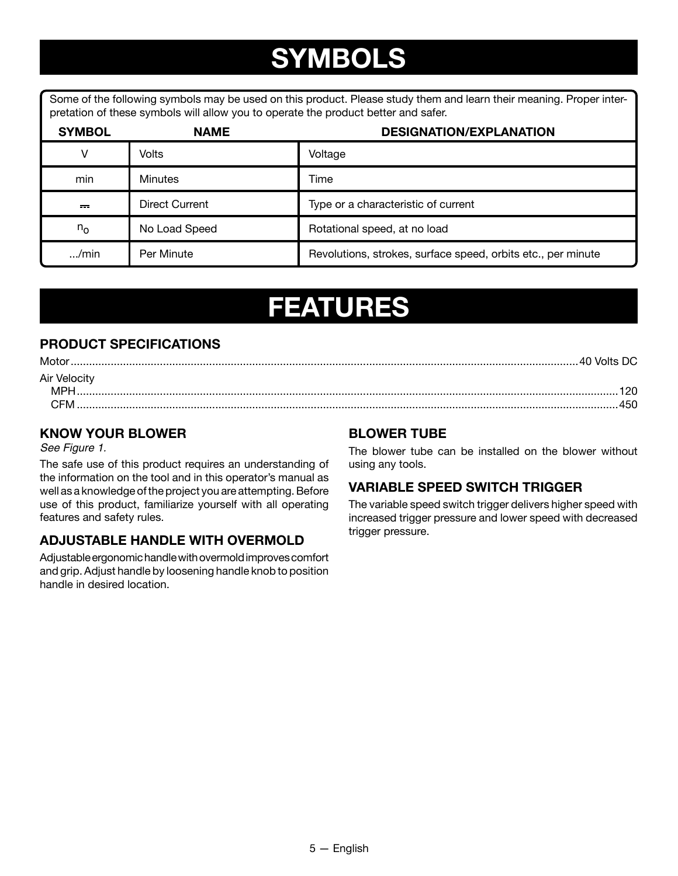## **SYMBOLS**

Some of the following symbols may be used on this product. Please study them and learn their meaning. Proper interpretation of these symbols will allow you to operate the product better and safer.

| <b>SYMBOL</b> | <b>NAME</b>    | <b>DESIGNATION/EXPLANATION</b>                               |
|---------------|----------------|--------------------------------------------------------------|
| $\vee$        | Volts          | Voltage                                                      |
| min           | <b>Minutes</b> | Time                                                         |
| $=$           | Direct Current | Type or a characteristic of current                          |
| $n_{\rm o}$   | No Load Speed  | Rotational speed, at no load                                 |
| $\ldots$ /min | Per Minute     | Revolutions, strokes, surface speed, orbits etc., per minute |

### **FEATURES**

### **PRODUCT SPECIFICATIONS**

| Motor        | .40 Volts |
|--------------|-----------|
| Air Velocity |           |
|              |           |
|              | 45C       |

### **KNOW YOUR BLOWER**

See Figure 1.

The safe use of this product requires an understanding of the information on the tool and in this operator's manual as well as a knowledge of the project you are attempting. Before use of this product, familiarize yourself with all operating features and safety rules.

#### **ADJUSTABLE HANDLE WITH OVERMOLD**

Adjustable ergonomic handle with overmold improves comfort and grip. Adjust handle by loosening handle knob to position handle in desired location.

#### **BLOWER TUBE**

The blower tube can be installed on the blower without using any tools.

#### **VARIABLE SPEED SWITCH TRIGGER**

The variable speed switch trigger delivers higher speed with increased trigger pressure and lower speed with decreased trigger pressure.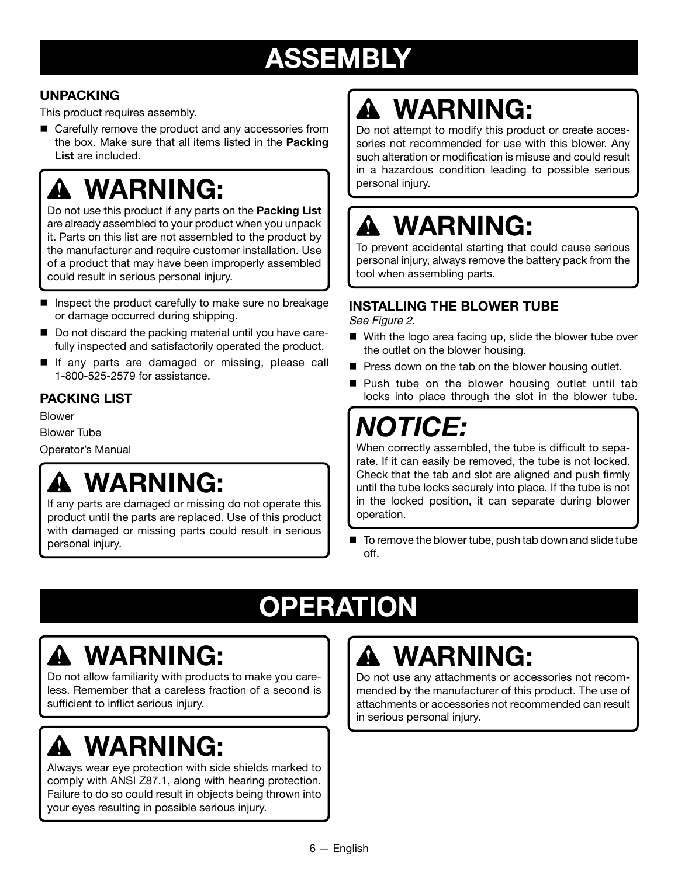## **ASSEMBLY**

### **UNPACKING**

This product requires assembly.

■ Carefully remove the product and any accessories from the box. Make sure that all items listed in the **Packing List** are included.

### **WARNING:** A

Do not use this product if any parts on the **Packing List** are already assembled to your product when you unpack it. Parts on this list are not assembled to the product by the manufacturer and require customer installation. Use of a product that may have been improperly assembled could result in serious personal injury.

- $\blacksquare$  Inspect the product carefully to make sure no breakage or damage occurred during shipping.
- $\blacksquare$  Do not discard the packing material until you have carefully inspected and satisfactorily operated the product.
- If any parts are damaged or missing, please call 1-800-525-2579 for assistance.

### **PACKING LIST**

Blower Blower Tube Operator's Manual

## **WARNING:**

If any parts are damaged or missing do not operate this product until the parts are replaced. Use of this product with damaged or missing parts could result in serious personal injury.

# **WARNING:**

Do not attempt to modify this product or create accessories not recommended for use with this blower. Any such alteration or modification is misuse and could result in a hazardous condition leading to possible serious personal injury.

# **WARNING:**

To prevent accidental starting that could cause serious personal injury, always remove the battery pack from the tool when assembling parts.

### **INSTALLING THE BLOWER TUBE**

See Figure 2.

- With the logo area facing up, slide the blower tube over the outlet on the blower housing.
- $\blacksquare$  Press down on the tab on the blower housing outlet.
- Push tube on the blower housing outlet until tab locks into place through the slot in the blower tube.

## *NOTICE:*

When correctly assembled, the tube is difficult to separate. If it can easily be removed, the tube is not locked. Check that the tab and slot are aligned and push firmly until the tube locks securely into place. If the tube is not in the locked position, it can separate during blower operation.

 $\blacksquare$  To remove the blower tube, push tab down and slide tube off.

# **OPERATION**

# **WARNING:**

Do not allow familiarity with products to make you careless. Remember that a careless fraction of a second is sufficient to inflict serious injury.

# **WARNING:**

Always wear eye protection with side shields marked to comply with ANSI Z87.1, along with hearing protection. Failure to do so could result in objects being thrown into your eyes resulting in possible serious injury.

# **WARNING:**

Do not use any attachments or accessories not recommended by the manufacturer of this product. The use of attachments or accessories not recommended can result in serious personal injury.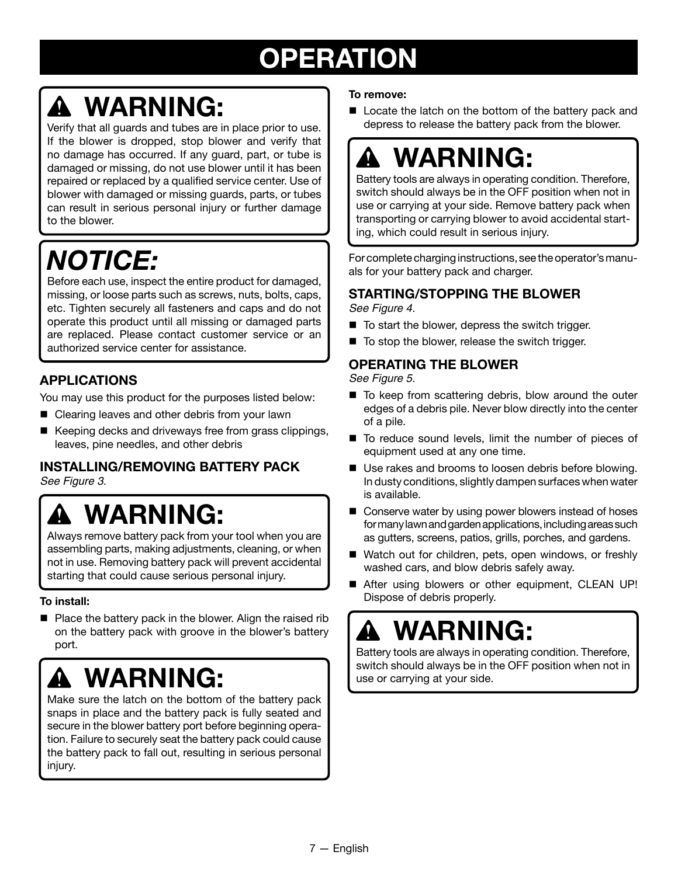## **OPERATION**

## **WARNING:**

Verify that all guards and tubes are in place prior to use. If the blower is dropped, stop blower and verify that no damage has occurred. If any guard, part, or tube is damaged or missing, do not use blower until it has been repaired or replaced by a qualified service center. Use of blower with damaged or missing guards, parts, or tubes can result in serious personal injury or further damage to the blower.

## *NOTICE:*

Before each use, inspect the entire product for damaged, missing, or loose parts such as screws, nuts, bolts, caps, etc. Tighten securely all fasteners and caps and do not operate this product until all missing or damaged parts are replaced. Please contact customer service or an authorized service center for assistance.

### **APPLICATIONS**

You may use this product for the purposes listed below:

- Clearing leaves and other debris from your lawn
- Keeping decks and driveways free from grass clippings, leaves, pine needles, and other debris

### **INSTALLING/REMOVING BATTERY PACK**

See Figure 3.

### **WARNING:**  $\mathbf{A}$

Always remove battery pack from your tool when you are assembling parts, making adjustments, cleaning, or when not in use. Removing battery pack will prevent accidental starting that could cause serious personal injury.

#### **To install:**

 $\blacksquare$  Place the battery pack in the blower. Align the raised rib on the battery pack with groove in the blower's battery port.

## **WARNING:**

Make sure the latch on the bottom of the battery pack snaps in place and the battery pack is fully seated and secure in the blower battery port before beginning operation. Failure to securely seat the battery pack could cause the battery pack to fall out, resulting in serious personal injury.

#### **To remove:**

Locate the latch on the bottom of the battery pack and depress to release the battery pack from the blower.

# **WARNING:**

Battery tools are always in operating condition. Therefore, switch should always be in the OFF position when not in use or carrying at your side. Remove battery pack when transporting or carrying blower to avoid accidental starting, which could result in serious injury.

For complete charging instructions, see the operator's manuals for your battery pack and charger.

### **STARTING/STOPPING THE BLOWER**

See Figure 4.

- $\blacksquare$  To start the blower, depress the switch trigger.
- To stop the blower, release the switch trigger.

#### **OPERATING THE BLOWER**

See Figure 5.

- To keep from scattering debris, blow around the outer edges of a debris pile. Never blow directly into the center of a pile.
- $\blacksquare$  To reduce sound levels, limit the number of pieces of equipment used at any one time.
- Use rakes and brooms to loosen debris before blowing. In dusty conditions, slightly dampen surfaces when water is available.
- Conserve water by using power blowers instead of hoses for many lawn and garden applications, including areas such as gutters, screens, patios, grills, porches, and gardens.
- Watch out for children, pets, open windows, or freshly washed cars, and blow debris safely away.
- After using blowers or other equipment, CLEAN UP! Dispose of debris properly.

## **WARNING:**

Battery tools are always in operating condition. Therefore, switch should always be in the OFF position when not in use or carrying at your side.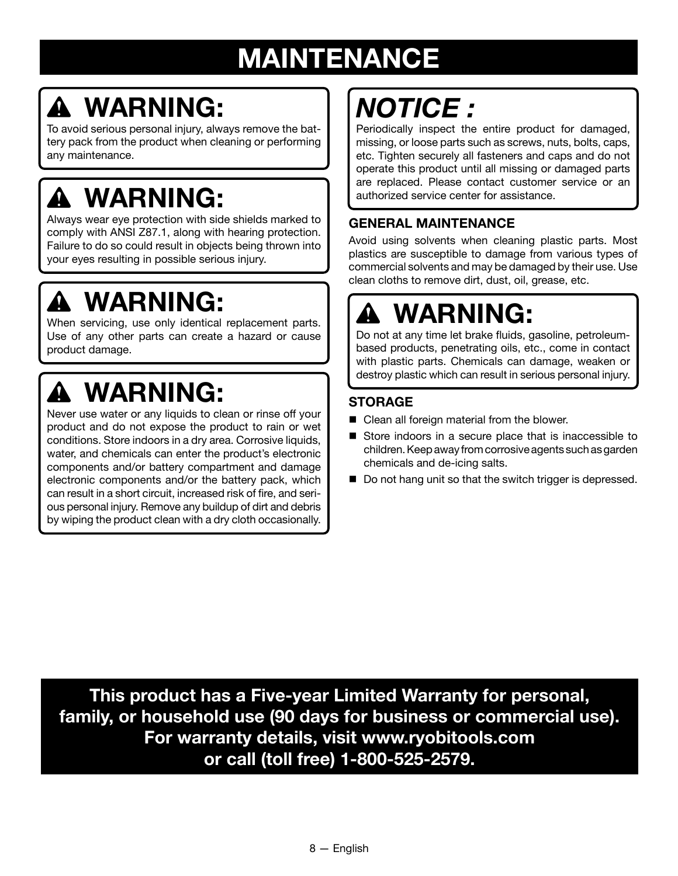## **MAINTENANCE**

# **WARNING:**

To avoid serious personal injury, always remove the battery pack from the product when cleaning or performing any maintenance.

# **WARNING:**

Always wear eye protection with side shields marked to comply with ANSI Z87.1, along with hearing protection. Failure to do so could result in objects being thrown into your eyes resulting in possible serious injury.

## **WARNING:**

When servicing, use only identical replacement parts. Use of any other parts can create a hazard or cause product damage.

# **WARNING:**

Never use water or any liquids to clean or rinse off your product and do not expose the product to rain or wet conditions. Store indoors in a dry area. Corrosive liquids, water, and chemicals can enter the product's electronic components and/or battery compartment and damage electronic components and/or the battery pack, which can result in a short circuit, increased risk of fire, and serious personal injury. Remove any buildup of dirt and debris by wiping the product clean with a dry cloth occasionally.

# *NOTICE :*

Periodically inspect the entire product for damaged, missing, or loose parts such as screws, nuts, bolts, caps, etc. Tighten securely all fasteners and caps and do not operate this product until all missing or damaged parts are replaced. Please contact customer service or an authorized service center for assistance.

### **GENERAL MAINTENANCE**

Avoid using solvents when cleaning plastic parts. Most plastics are susceptible to damage from various types of commercial solvents and may be damaged by their use. Use clean cloths to remove dirt, dust, oil, grease, etc.

# **WARNING:**

Do not at any time let brake fluids, gasoline, petroleumbased products, penetrating oils, etc., come in contact with plastic parts. Chemicals can damage, weaken or destroy plastic which can result in serious personal injury.

### **STORAGE**

- $\blacksquare$  Clean all foreign material from the blower.
- Store indoors in a secure place that is inaccessible to children. Keep away from corrosive agents such as garden chemicals and de-icing salts.
- Do not hang unit so that the switch trigger is depressed.

**This product has a Five-year Limited Warranty for personal, family, or household use (90 days for business or commercial use). For warranty details, visit www.ryobitools.com or call (toll free) 1-800-525-2579.**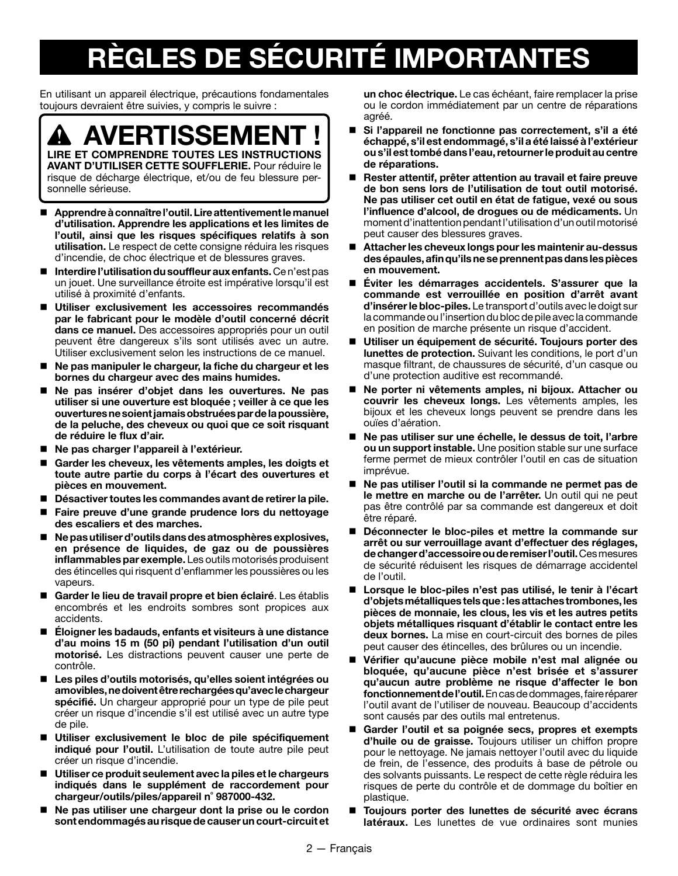# **RÈGLES DE SÉCURITÉ IMPORTANTES**

En utilisant un appareil électrique, précautions fondamentales toujours devraient être suivies, y compris le suivre :

**AVERTISSEMENT ! LIRE ET COMPRENDRE TOUTES LES INSTRUCTIONS AVANT D'UTILISER CETTE SOUFFLERIE.** Pour réduire le risque de décharge électrique, et/ou de feu blessure personnelle sérieuse.

- **Apprendre à connaître l'outil. Lire attentivement le manuel d'utilisation. Apprendre les applications et les limites de l'outil, ainsi que les risques spécifiques relatifs à son utilisation.** Le respect de cette consigne réduira les risques d'incendie, de choc électrique et de blessures graves.
- **Interdire l'utilisation du souffleur aux enfants.** Ce n'est pas un jouet. Une surveillance étroite est impérative lorsqu'il est utilisé à proximité d'enfants.
- **Utiliser exclusivement les accessoires recommandés par le fabricant pour le modèle d'outil concerné décrit dans ce manuel.** Des accessoires appropriés pour un outil peuvent être dangereux s'ils sont utilisés avec un autre. Utiliser exclusivement selon les instructions de ce manuel.
- **Ne pas manipuler le chargeur, la fiche du chargeur et les bornes du chargeur avec des mains humides.**
- **Ne pas insérer d'objet dans les ouvertures. Ne pas utiliser si une ouverture est bloquée ; veiller à ce que les ouvertures ne soient jamais obstruées par de la poussière, de la peluche, des cheveux ou quoi que ce soit risquant de réduire le flux d'air.**
- **Ne pas charger l'appareil à l'extérieur.**
- **Garder les cheveux, les vêtements amples, les doigts et toute autre partie du corps à l'écart des ouvertures et pièces en mouvement.**
- **Désactiver toutes les commandes avant de retirer la pile.**
- **Faire preuve d'une grande prudence lors du nettoyage des escaliers et des marches.**
- **Ne pas utiliser d'outils dans des atmosphères explosives, en présence de liquides, de gaz ou de poussières inflammables par exemple.** Les outils motorisés produisent des étincelles qui risquent d'enflammer les poussières ou les vapeurs.
- **Garder le lieu de travail propre et bien éclairé**. Les établis encombrés et les endroits sombres sont propices aux accidents.
- **Éloigner les badauds, enfants et visiteurs à une distance d'au moins 15 m (50 pi) pendant l'utilisation d'un outil motorisé.** Les distractions peuvent causer une perte de contrôle.
- **Les piles d'outils motorisés, qu'elles soient intégrées ou amovibles, ne doivent être rechargées qu'avec le chargeur spécifié.** Un chargeur approprié pour un type de pile peut créer un risque d'incendie s'il est utilisé avec un autre type de pile.
- **Utiliser exclusivement le bloc de pile spécifiquement indiqué pour l'outil.** L'utilisation de toute autre pile peut créer un risque d'incendie.
- **Utiliser ce produit seulement avec la piles et le chargeurs indiqués dans le supplément de raccordement pour chargeur/outils/piles/appareil n˚ 987000-432.**
- **Ne pas utiliser une chargeur dont la prise ou le cordon sont endommagés au risque de causer un court-circuit et**

**un choc électrique.** Le cas échéant, faire remplacer la prise ou le cordon immédiatement par un centre de réparations agréé.

- **Si l'appareil ne fonctionne pas correctement, s'il a été échappé, s'il est endommagé, s'il a été laissé à l'extérieur ou s'il est tombé dans l'eau, retourner le produit au centre de réparations.**
- **Rester attentif, prêter attention au travail et faire preuve de bon sens lors de l'utilisation de tout outil motorisé. Ne pas utiliser cet outil en état de fatigue, vexé ou sous l'influence d'alcool, de drogues ou de médicaments.** Un moment d'inattention pendant l'utilisation d'un outil motorisé peut causer des blessures graves.
- **Attacher les cheveux longs pour les maintenir au-dessus des épaules, afin qu'ils ne se prennent pas dans les pièces en mouvement.**
- **Éviter les démarrages accidentels. S'assurer que la commande est verrouillée en position d'arrêt avant d'insérer le bloc-piles.** Le transport d'outils avec le doigt sur la commande ou l'insertion du bloc de pile avec la commande en position de marche présente un risque d'accident.
- **Utiliser un équipement de sécurité. Toujours porter des lunettes de protection.** Suivant les conditions, le port d'un masque filtrant, de chaussures de sécurité, d'un casque ou d'une protection auditive est recommandé.
- **Ne porter ni vêtements amples, ni bijoux. Attacher ou couvrir les cheveux longs.** Les vêtements amples, les bijoux et les cheveux longs peuvent se prendre dans les ouïes d'aération.
- **Ne pas utiliser sur une échelle, le dessus de toit, l'arbre ou un support instable.** Une position stable sur une surface ferme permet de mieux contrôler l'outil en cas de situation imprévue.
- **Ne pas utiliser l'outil si la commande ne permet pas de le mettre en marche ou de l'arrêter.** Un outil qui ne peut pas être contrôlé par sa commande est dangereux et doit être réparé.
- **Déconnecter le bloc-piles et mettre la commande sur arrêt ou sur verrouillage avant d'effectuer des réglages, de changer d'accessoire ou de remiser l'outil.** Ces mesures de sécurité réduisent les risques de démarrage accidentel de l'outil.
- **Lorsque le bloc-piles n'est pas utilisé, le tenir à l'écart d'objets métalliques tels que : les attaches trombones, les pièces de monnaie, les clous, les vis et les autres petits objets métalliques risquant d'établir le contact entre les deux bornes.** La mise en court-circuit des bornes de piles peut causer des étincelles, des brûlures ou un incendie.
- **Vérifier qu'aucune pièce mobile n'est mal alignée ou bloquée, qu'aucune pièce n'est brisée et s'assurer qu'aucun autre problème ne risque d'affecter le bon fonctionnement de l'outil.** En cas de dommages, faire réparer l'outil avant de l'utiliser de nouveau. Beaucoup d'accidents sont causés par des outils mal entretenus.
- **Garder l'outil et sa poignée secs, propres et exempts d'huile ou de graisse.** Toujours utiliser un chiffon propre pour le nettoyage. Ne jamais nettoyer l'outil avec du liquide de frein, de l'essence, des produits à base de pétrole ou des solvants puissants. Le respect de cette règle réduira les risques de perte du contrôle et de dommage du boîtier en plastique.
- **Toujours porter des lunettes de sécurité avec écrans latéraux.** Les lunettes de vue ordinaires sont munies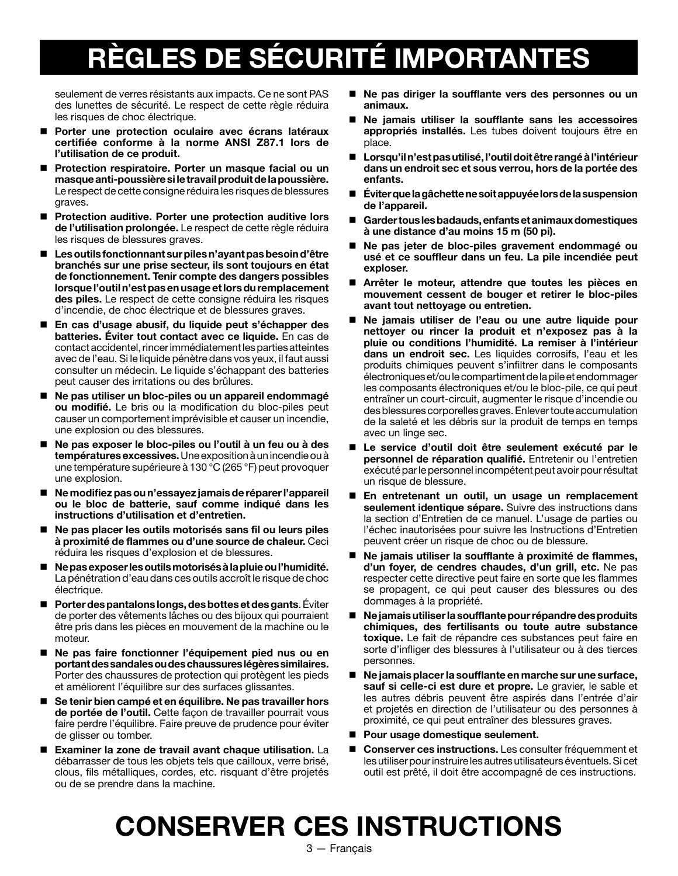# **RÈGLES DE SÉCURITÉ IMPORTANTES**

seulement de verres résistants aux impacts. Ce ne sont PAS des lunettes de sécurité. Le respect de cette règle réduira les risques de choc électrique.

- **Porter une protection oculaire avec écrans latéraux certifiée conforme à la norme ANSI Z87.1 lors de l'utilisation de ce produit.**
- **Protection respiratoire. Porter un masque facial ou un masque anti-poussière si le travail produit de la poussière.**  Le respect de cette consigne réduira les risques de blessures graves.
- Protection auditive. Porter une protection auditive lors **de l'utilisation prolongée.** Le respect de cette règle réduira les risques de blessures graves.
- **Les outils fonctionnant sur piles n'ayant pas besoin d'être branchés sur une prise secteur, ils sont toujours en état de fonctionnement. Tenir compte des dangers possibles lorsque l'outil n'est pas en usage et lors du remplacement des piles.** Le respect de cette consigne réduira les risques d'incendie, de choc électrique et de blessures graves.
- **En cas d'usage abusif, du liquide peut s'échapper des batteries. Éviter tout contact avec ce liquide.** En cas de contact accidentel, rincer immédiatement les parties atteintes avec de l'eau. Si le liquide pénètre dans vos yeux, il faut aussi consulter un médecin. Le liquide s'échappant des batteries peut causer des irritations ou des brûlures.
- **Ne pas utiliser un bloc-piles ou un appareil endommagé ou modifié.** Le bris ou la modification du bloc-piles peut causer un comportement imprévisible et causer un incendie, une explosion ou des blessures.
- **Ne pas exposer le bloc-piles ou l'outil à un feu ou à des températures excessives.** Une exposition à un incendie ou à une température supérieure à 130 °C (265 °F) peut provoquer une explosion.
- **Ne modifiez pas ou n'essayez jamais de réparer l'appareil ou le bloc de batterie, sauf comme indiqué dans les instructions d'utilisation et d'entretien.**
- Ne pas placer les outils motorisés sans fil ou leurs piles **à proximité de flammes ou d'une source de chaleur.** Ceci réduira les risques d'explosion et de blessures.
- **Ne pas exposer les outils motorisés à la pluie ou l'humidité.**  La pénétration d'eau dans ces outils accroît le risque de choc électrique.
- **Porter des pantalons longs, des bottes et des gants**. Éviter de porter des vêtements lâches ou des bijoux qui pourraient être pris dans les pièces en mouvement de la machine ou le moteur.
- **Ne pas faire fonctionner l'équipement pied nus ou en portant des sandales ou des chaussures légères similaires.**  Porter des chaussures de protection qui protègent les pieds et améliorent l'équilibre sur des surfaces glissantes.
- Se tenir bien campé et en équilibre. Ne pas travailler hors **de portée de l'outil.** Cette façon de travailler pourrait vous faire perdre l'équilibre. Faire preuve de prudence pour éviter de glisser ou tomber.
- **Examiner la zone de travail avant chaque utilisation.** La débarrasser de tous les objets tels que cailloux, verre brisé, clous, fils métalliques, cordes, etc. risquant d'être projetés ou de se prendre dans la machine.
- **Ne pas diriger la soufflante vers des personnes ou un animaux.**
- **Ne jamais utiliser la soufflante sans les accessoires appropriés installés.** Les tubes doivent toujours être en place.
- **Lorsqu'il n'est pas utilisé, l'outil doit être rangé à l'intérieur dans un endroit sec et sous verrou, hors de la portée des enfants.**
- **Éviter que la gâchette ne soit appuyée lors de la suspension de l'appareil.**
- **Garder tous les badauds, enfants et animaux domestiques à une distance d'au moins 15 m (50 pi).**
- **Ne pas jeter de bloc-piles gravement endommagé ou usé et ce souffleur dans un feu. La pile incendiée peut exploser.**
- **Arrêter le moteur, attendre que toutes les pièces en mouvement cessent de bouger et retirer le bloc-piles avant tout nettoyage ou entretien.**
- **Ne jamais utiliser de l'eau ou une autre liquide pour nettoyer ou rincer la produit et n'exposez pas à la pluie ou conditions l'humidité. La remiser à l'intérieur dans un endroit sec.** Les liquides corrosifs, l'eau et les produits chimiques peuvent s'infiltrer dans le composants électroniques et/ou le compartiment de la pile et endommager les composants électroniques et/ou le bloc-pile, ce qui peut entraîner un court-circuit, augmenter le risque d'incendie ou des blessures corporelles graves. Enlever toute accumulation de la saleté et les débris sur la produit de temps en temps avec un linge sec.
- **Le service d'outil doit être seulement exécuté par le personnel de réparation qualifié.** Entretenir ou l'entretien exécuté par le personnel incompétent peut avoir pour résultat un risque de blessure.
- **En entretenant un outil, un usage un remplacement seulement identique sépare.** Suivre des instructions dans la section d'Entretien de ce manuel. L'usage de parties ou l'échec inautorisées pour suivre les Instructions d'Entretien peuvent créer un risque de choc ou de blessure.
- Ne jamais utiliser la soufflante à proximité de flammes, **d'un foyer, de cendres chaudes, d'un grill, etc.** Ne pas respecter cette directive peut faire en sorte que les flammes se propagent, ce qui peut causer des blessures ou des dommages à la propriété.
- **Ne jamais utiliser la soufflante pour répandre des produits chimiques, des fertilisants ou toute autre substance toxique.** Le fait de répandre ces substances peut faire en sorte d'infliger des blessures à l'utilisateur ou à des tierces personnes.
- Ne jamais placer la soufflante en marche sur une surface, **sauf si celle-ci est dure et propre.** Le gravier, le sable et les autres débris peuvent être aspirés dans l'entrée d'air et projetés en direction de l'utilisateur ou des personnes à proximité, ce qui peut entraîner des blessures graves.
- Pour usage domestique seulement.
- **Conserver ces instructions.** Les consulter fréquemment et les utiliser pour instruire les autres utilisateurs éventuels. Si cet outil est prêté, il doit être accompagné de ces instructions.

### **CONSERVER CES INSTRUCTIONS**

3 — Français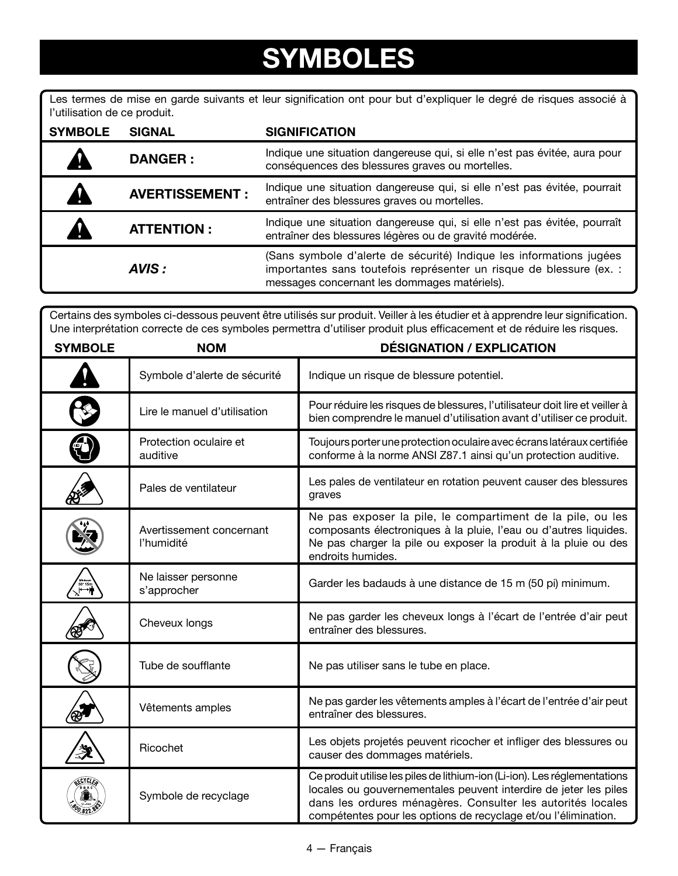### **SYMBOLES**

Les termes de mise en garde suivants et leur signification ont pour but d'expliquer le degré de risques associé à l'utilisation de ce produit.

| <b>SYMBOLE</b> | <b>SIGNAL</b>         | <b>SIGNIFICATION</b>                                                                                                                                                                       |
|----------------|-----------------------|--------------------------------------------------------------------------------------------------------------------------------------------------------------------------------------------|
|                | <b>DANGER:</b>        | Indique une situation dangereuse qui, si elle n'est pas évitée, aura pour<br>conséquences des blessures graves ou mortelles.                                                               |
|                | <b>AVERTISSEMENT:</b> | Indique une situation dangereuse qui, si elle n'est pas évitée, pourrait<br>entraîner des blessures graves ou mortelles.                                                                   |
|                | <b>ATTENTION:</b>     | Indique une situation dangereuse qui, si elle n'est pas évitée, pourraît<br>entraîner des blessures légères ou de gravité modérée.                                                         |
|                | AVIS :                | (Sans symbole d'alerte de sécurité) Indique les informations jugées<br>importantes sans toutefois représenter un risque de blessure (ex. :<br>messages concernant les dommages matériels). |

Certains des symboles ci-dessous peuvent être utilisés sur produit. Veiller à les étudier et à apprendre leur signification. Une interprétation correcte de ces symboles permettra d'utiliser produit plus efficacement et de réduire les risques.

| <b>SYMBOLE</b> | <b>NOM</b>                             | <b>DÉSIGNATION / EXPLICATION</b>                                                                                                                                                                                                                                               |
|----------------|----------------------------------------|--------------------------------------------------------------------------------------------------------------------------------------------------------------------------------------------------------------------------------------------------------------------------------|
|                | Symbole d'alerte de sécurité           | Indique un risque de blessure potentiel.                                                                                                                                                                                                                                       |
|                | Lire le manuel d'utilisation           | Pour réduire les risques de blessures, l'utilisateur doit lire et veiller à<br>bien comprendre le manuel d'utilisation avant d'utiliser ce produit.                                                                                                                            |
|                | Protection oculaire et<br>auditive     | Toujours porter une protection oculaire avec écrans latéraux certifiée<br>conforme à la norme ANSI Z87.1 ainsi qu'un protection auditive.                                                                                                                                      |
|                | Pales de ventilateur                   | Les pales de ventilateur en rotation peuvent causer des blessures<br>graves                                                                                                                                                                                                    |
|                | Avertissement concernant<br>l'humidité | Ne pas exposer la pile, le compartiment de la pile, ou les<br>composants électroniques à la pluie, l'eau ou d'autres liquides.<br>Ne pas charger la pile ou exposer la produit à la pluie ou des<br>endroits humides.                                                          |
|                | Ne laisser personne<br>s'approcher     | Garder les badauds à une distance de 15 m (50 pi) minimum.                                                                                                                                                                                                                     |
|                | Cheveux longs                          | Ne pas garder les cheveux longs à l'écart de l'entrée d'air peut<br>entraîner des blessures.                                                                                                                                                                                   |
|                | Tube de soufflante                     | Ne pas utiliser sans le tube en place.                                                                                                                                                                                                                                         |
|                | Vêtements amples                       | Ne pas garder les vêtements amples à l'écart de l'entrée d'air peut<br>entraîner des blessures.                                                                                                                                                                                |
|                | Ricochet                               | Les objets projetés peuvent ricocher et infliger des blessures ou<br>causer des dommages matériels.                                                                                                                                                                            |
|                | Symbole de recyclage                   | Ce produit utilise les piles de lithium-ion (Li-ion). Les réglementations<br>locales ou gouvernementales peuvent interdire de jeter les piles<br>dans les ordures ménagères. Consulter les autorités locales<br>compétentes pour les options de recyclage et/ou l'élimination. |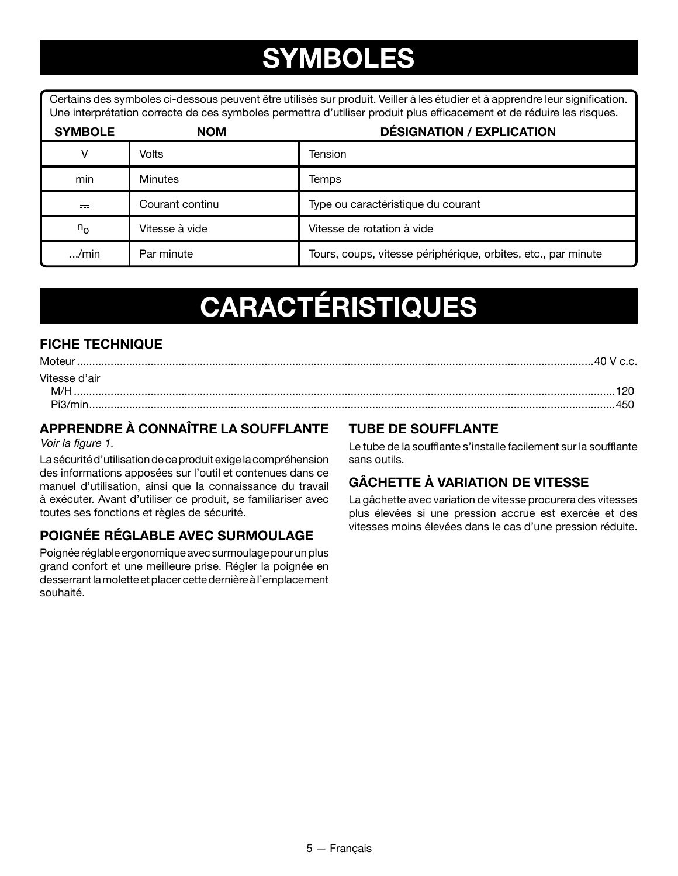### **SYMBOLES**

Certains des symboles ci-dessous peuvent être utilisés sur produit. Veiller à les étudier et à apprendre leur signification. Une interprétation correcte de ces symboles permettra d'utiliser produit plus efficacement et de réduire les risques.

| <b>SYMBOLE</b> | <b>NOM</b>      | <b>DÉSIGNATION / EXPLICATION</b>                              |
|----------------|-----------------|---------------------------------------------------------------|
| v              | Volts           | Tension                                                       |
| min            | <b>Minutes</b>  | Temps                                                         |
| $=$            | Courant continu | Type ou caractéristique du courant                            |
| $n_{\rm o}$    | Vitesse à vide  | Vitesse de rotation à vide                                    |
| $\ldots$ /min  | Par minute      | Tours, coups, vitesse périphérique, orbites, etc., par minute |

# **CARACTÉRISTIQUES**

### **FICHE TECHNIQUE**

| Moter         |  |
|---------------|--|
| Vitesse d'air |  |
| M/F           |  |
| Pi3/mir       |  |

### **APPRENDRE À CONNAÎTRE LA SOUFFLANTE**

Voir la figure 1.

La sécurité d'utilisation de ce produit exige la compréhension des informations apposées sur l'outil et contenues dans ce manuel d'utilisation, ainsi que la connaissance du travail à exécuter. Avant d'utiliser ce produit, se familiariser avec toutes ses fonctions et règles de sécurité.

### **POIGNÉE RÉGLABLE AVEC SURMOULAGE**

Poignée réglable ergonomique avec surmoulage pour un plus grand confort et une meilleure prise. Régler la poignée en desserrant la molette et placer cette dernière à l'emplacement souhaité.

#### **TUBE DE SOUFFLANTE**

Le tube de la soufflante s'installe facilement sur la soufflante sans outils.

### **GÂCHETTE À VARIATION DE VITESSE**

La gâchette avec variation de vitesse procurera des vitesses plus élevées si une pression accrue est exercée et des vitesses moins élevées dans le cas d'une pression réduite.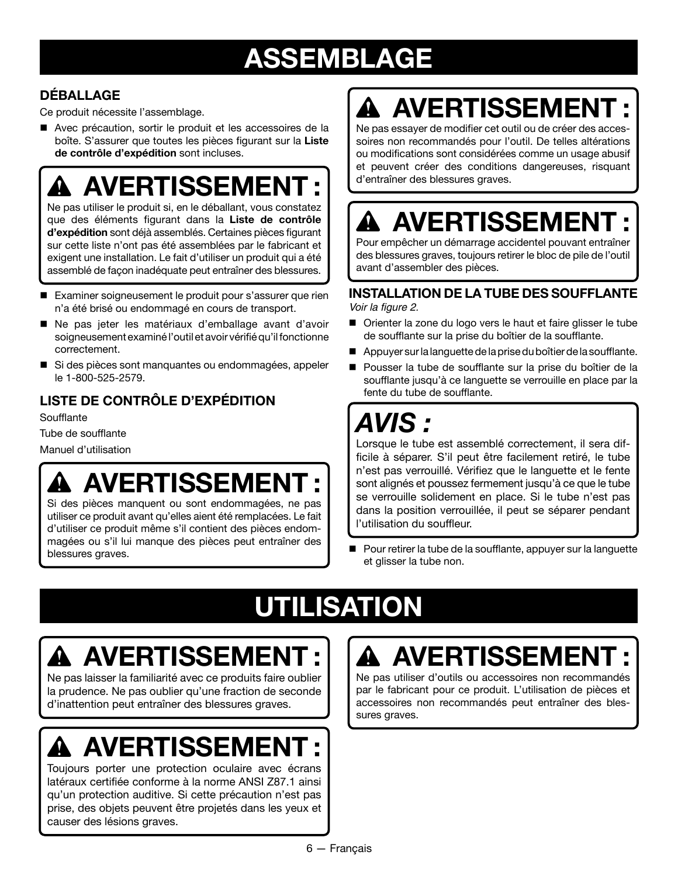## **ASSEMBLAGE**

### **DÉBALLAGE**

Ce produit nécessite l'assemblage.

■ Avec précaution, sortir le produit et les accessoires de la boîte. S'assurer que toutes les pièces figurant sur la **Liste de contrôle d'expédition** sont incluses.

## **AVERTISSEMENT :**

Ne pas utiliser le produit si, en le déballant, vous constatez que des éléments figurant dans la **Liste de contrôle d'expédition** sont déjà assemblés. Certaines pièces figurant sur cette liste n'ont pas été assemblées par le fabricant et exigent une installation. Le fait d'utiliser un produit qui a été assemblé de façon inadéquate peut entraîner des blessures.

- Examiner soigneusement le produit pour s'assurer que rien n'a été brisé ou endommagé en cours de transport.
- n Ne pas jeter les matériaux d'emballage avant d'avoir soigneusement examiné l'outil et avoir vérifié qu'il fonctionne correctement.
- Si des pièces sont manquantes ou endommagées, appeler le 1-800-525-2579.

### **LISTE DE CONTRÔLE D'EXPÉDITION**

**Soufflante** 

Tube de soufflante

Manuel d'utilisation

## **AVERTISSEMENT :**

Si des pièces manquent ou sont endommagées, ne pas utiliser ce produit avant qu'elles aient été remplacées. Le fait d'utiliser ce produit même s'il contient des pièces endommagées ou s'il lui manque des pièces peut entraîner des blessures graves.

# **AVERTISSEMENT :**

Ne pas essayer de modifier cet outil ou de créer des accessoires non recommandés pour l'outil. De telles altérations ou modifications sont considérées comme un usage abusif et peuvent créer des conditions dangereuses, risquant d'entraîner des blessures graves.

## **AVERTISSEMENT :**

Pour empêcher un démarrage accidentel pouvant entraîner des blessures graves, toujours retirer le bloc de pile de l'outil avant d'assembler des pièces.

#### **INSTALLATION DE LA TUBE DES SOUFFLANTE** Voir la figure 2.

■ Orienter la zone du logo vers le haut et faire glisser le tube de soufflante sur la prise du boîtier de la soufflante.

- n Appuyer sur la languette de la prise du boîtier de la soufflante.
- Pousser la tube de soufflante sur la prise du boîtier de la soufflante jusqu'à ce languette se verrouille en place par la fente du tube de soufflante.

### *AVIS :*

Lorsque le tube est assemblé correctement, il sera difficile à séparer. S'il peut être facilement retiré, le tube n'est pas verrouillé. Vérifiez que le languette et le fente sont alignés et poussez fermement jusqu'à ce que le tube se verrouille solidement en place. Si le tube n'est pas dans la position verrouillée, il peut se séparer pendant l'utilisation du souffleur.

■ Pour retirer la tube de la soufflante, appuyer sur la languette et glisser la tube non.

# **UTILISATION**

# **AVERTISSEMENT :**

Ne pas laisser la familiarité avec ce produits faire oublier la prudence. Ne pas oublier qu'une fraction de seconde d'inattention peut entraîner des blessures graves.

# **AVERTISSEMENT :**

Toujours porter une protection oculaire avec écrans latéraux certifiée conforme à la norme ANSI Z87.1 ainsi qu'un protection auditive. Si cette précaution n'est pas prise, des objets peuvent être projetés dans les yeux et causer des lésions graves.

## **A AVERTISSEMEN**

Ne pas utiliser d'outils ou accessoires non recommandés par le fabricant pour ce produit. L'utilisation de pièces et accessoires non recommandés peut entraîner des blessures graves.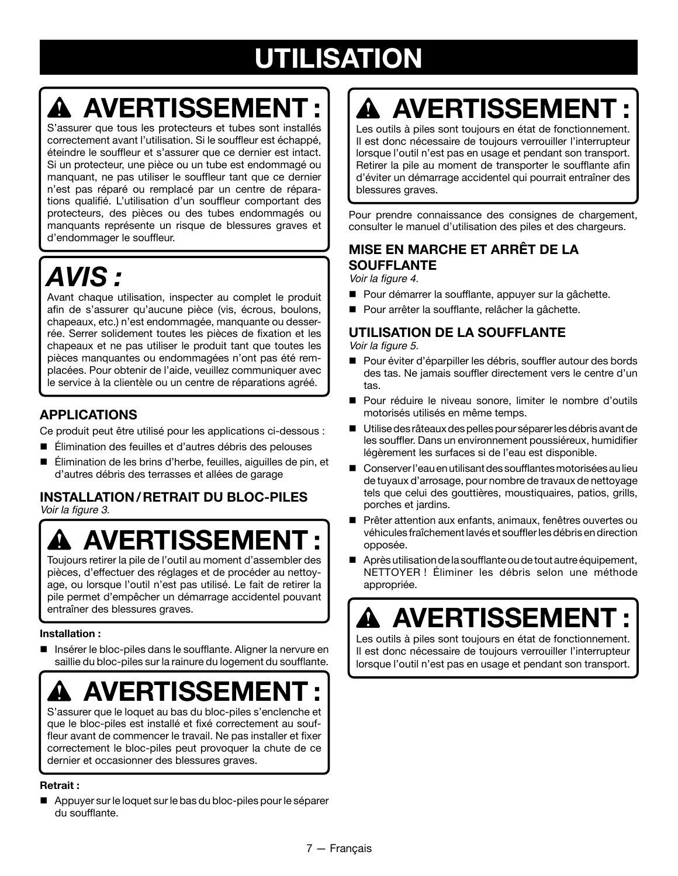# **UTILISATION**

## **AVERTISSEMENT :**

S'assurer que tous les protecteurs et tubes sont installés correctement avant l'utilisation. Si le souffleur est échappé, éteindre le souffleur et s'assurer que ce dernier est intact. Si un protecteur, une pièce ou un tube est endommagé ou manquant, ne pas utiliser le souffleur tant que ce dernier n'est pas réparé ou remplacé par un centre de réparations qualifié. L'utilisation d'un souffleur comportant des protecteurs, des pièces ou des tubes endommagés ou manquants représente un risque de blessures graves et d'endommager le souffleur.

## *AVIS :*

Avant chaque utilisation, inspecter au complet le produit afin de s'assurer qu'aucune pièce (vis, écrous, boulons, chapeaux, etc.) n'est endommagée, manquante ou desserrée. Serrer solidement toutes les pièces de fixation et les chapeaux et ne pas utiliser le produit tant que toutes les pièces manquantes ou endommagées n'ont pas été remplacées. Pour obtenir de l'aide, veuillez communiquer avec le service à la clientèle ou un centre de réparations agréé.

### **APPLICATIONS**

Ce produit peut être utilisé pour les applications ci-dessous :

- Élimination des feuilles et d'autres débris des pelouses
- Élimination de les brins d'herbe, feuilles, aiguilles de pin, et d'autres débris des terrasses et allées de garage

#### **INSTALLATION/RETRAIT DU BLOC-PILES** Voir la figure 3.

# **AVERTISSEMEN**

Toujours retirer la pile de l'outil au moment d'assembler des pièces, d'effectuer des réglages et de procéder au nettoyage, ou lorsque l'outil n'est pas utilisé. Le fait de retirer la pile permet d'empêcher un démarrage accidentel pouvant entraîner des blessures graves.

#### **Installation :**

 Insérer le bloc-piles dans le soufflante. Aligner la nervure en saillie du bloc-piles sur la rainure du logement du soufflante.



S'assurer que le loquet au bas du bloc-piles s'enclenche et que le bloc-piles est installé et fixé correctement au souffleur avant de commencer le travail. Ne pas installer et fixer correctement le bloc-piles peut provoquer la chute de ce dernier et occasionner des blessures graves.

#### **Retrait :**

 Appuyer sur le loquet sur le bas du bloc-piles pour le séparer du soufflante.

# **AVERTISSEMENT :**

Les outils à piles sont toujours en état de fonctionnement. Il est donc nécessaire de toujours verrouiller l'interrupteur lorsque l'outil n'est pas en usage et pendant son transport. Retirer la pile au moment de transporter le soufflante afin d'éviter un démarrage accidentel qui pourrait entraîner des blessures graves.

Pour prendre connaissance des consignes de chargement, consulter le manuel d'utilisation des piles et des chargeurs.

### **MISE EN MARCHE ET ARRÊT DE LA SOUFFLANTE**

Voir la figure 4.

- Pour démarrer la soufflante, appuyer sur la gâchette.
- Pour arrêter la soufflante, relâcher la gâchette.

### **UTILISATION DE LA SOUFFLANTE**

Voir la figure 5.

- Pour éviter d'éparpiller les débris, souffler autour des bords des tas. Ne jamais souffler directement vers le centre d'un tas.
- n Pour réduire le niveau sonore, limiter le nombre d'outils motorisés utilisés en même temps.
- Utilise des râteaux des pelles pour séparer les débris avant de les souffler. Dans un environnement poussiéreux, humidifier légèrement les surfaces si de l'eau est disponible.
- Conserver l'eau en utilisant des soufflantes motorisées au lieu de tuyaux d'arrosage, pour nombre de travaux de nettoyage tels que celui des gouttières, moustiquaires, patios, grills, porches et jardins.
- Prêter attention aux enfants, animaux, fenêtres ouvertes ou véhicules fraîchement lavés et souffler les débris en direction opposée.
- $\blacksquare$  Après utilisation de la soufflante ou de tout autre équipement, NETTOYER ! Éliminer les débris selon une méthode appropriée.

## **AVERTISSEMEN**

Les outils à piles sont toujours en état de fonctionnement. Il est donc nécessaire de toujours verrouiller l'interrupteur lorsque l'outil n'est pas en usage et pendant son transport.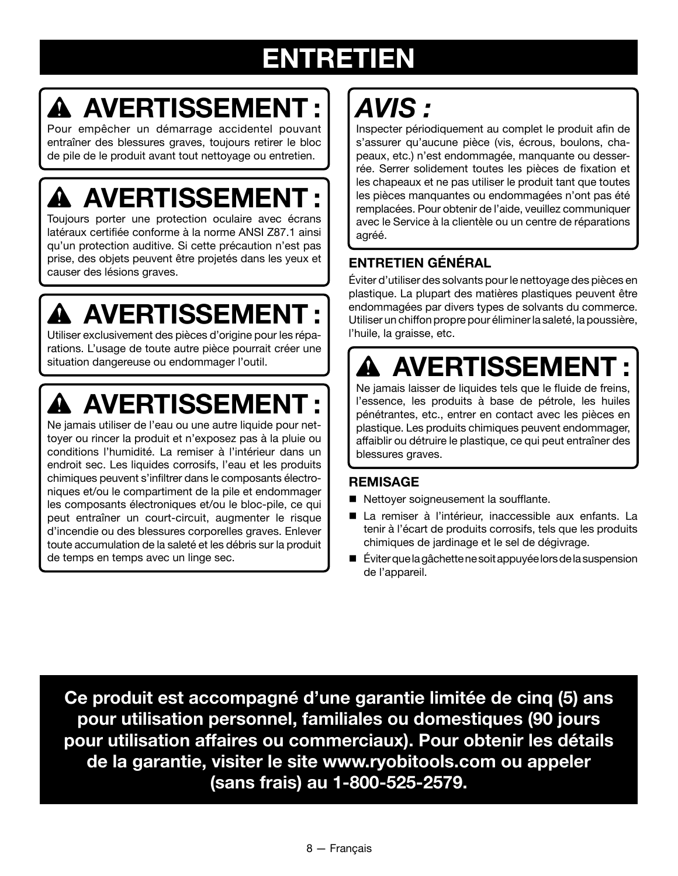## **ENTRETIEN**

# **AVERTISSEMENT :**

Pour empêcher un démarrage accidentel pouvant entraîner des blessures graves, toujours retirer le bloc de pile de le produit avant tout nettoyage ou entretien.

# **AVERTISSEMENT :**

Toujours porter une protection oculaire avec écrans latéraux certifiée conforme à la norme ANSI Z87.1 ainsi qu'un protection auditive. Si cette précaution n'est pas prise, des objets peuvent être projetés dans les yeux et causer des lésions graves.

# **AVERTISSEMENT :**

Utiliser exclusivement des pièces d'origine pour les réparations. L'usage de toute autre pièce pourrait créer une situation dangereuse ou endommager l'outil.

# **AVERTISSEMENT :**

Ne jamais utiliser de l'eau ou une autre liquide pour nettoyer ou rincer la produit et n'exposez pas à la pluie ou conditions l'humidité. La remiser à l'intérieur dans un endroit sec. Les liquides corrosifs, l'eau et les produits chimiques peuvent s'infiltrer dans le composants électroniques et/ou le compartiment de la pile et endommager les composants électroniques et/ou le bloc-pile, ce qui peut entraîner un court-circuit, augmenter le risque d'incendie ou des blessures corporelles graves. Enlever toute accumulation de la saleté et les débris sur la produit de temps en temps avec un linge sec.

# *AVIS :*

Inspecter périodiquement au complet le produit afin de s'assurer qu'aucune pièce (vis, écrous, boulons, chapeaux, etc.) n'est endommagée, manquante ou desserrée. Serrer solidement toutes les pièces de fixation et les chapeaux et ne pas utiliser le produit tant que toutes les pièces manquantes ou endommagées n'ont pas été remplacées. Pour obtenir de l'aide, veuillez communiquer avec le Service à la clientèle ou un centre de réparations agréé.

### **ENTRETIEN GÉNÉRAL**

Éviter d'utiliser des solvants pour le nettoyage des pièces en plastique. La plupart des matières plastiques peuvent être endommagées par divers types de solvants du commerce. Utiliser un chiffon propre pour éliminer la saleté, la poussière, l'huile, la graisse, etc.

# **AVERTISSEMENT :**

Ne jamais laisser de liquides tels que le fluide de freins, l'essence, les produits à base de pétrole, les huiles pénétrantes, etc., entrer en contact avec les pièces en plastique. Les produits chimiques peuvent endommager, affaiblir ou détruire le plastique, ce qui peut entraîner des blessures graves.

### **REMISAGE**

- Nettoyer soigneusement la soufflante.
- n La remiser à l'intérieur, inaccessible aux enfants. La tenir à l'écart de produits corrosifs, tels que les produits chimiques de jardinage et le sel de dégivrage.
- n Éviter que la gâchette ne soit appuyée lors de la suspension de l'appareil.

**Ce produit est accompagné d'une garantie limitée de cinq (5) ans pour utilisation personnel, familiales ou domestiques (90 jours pour utilisation affaires ou commerciaux). Pour obtenir les détails de la garantie, visiter le site www.ryobitools.com ou appeler (sans frais) au 1-800-525-2579.**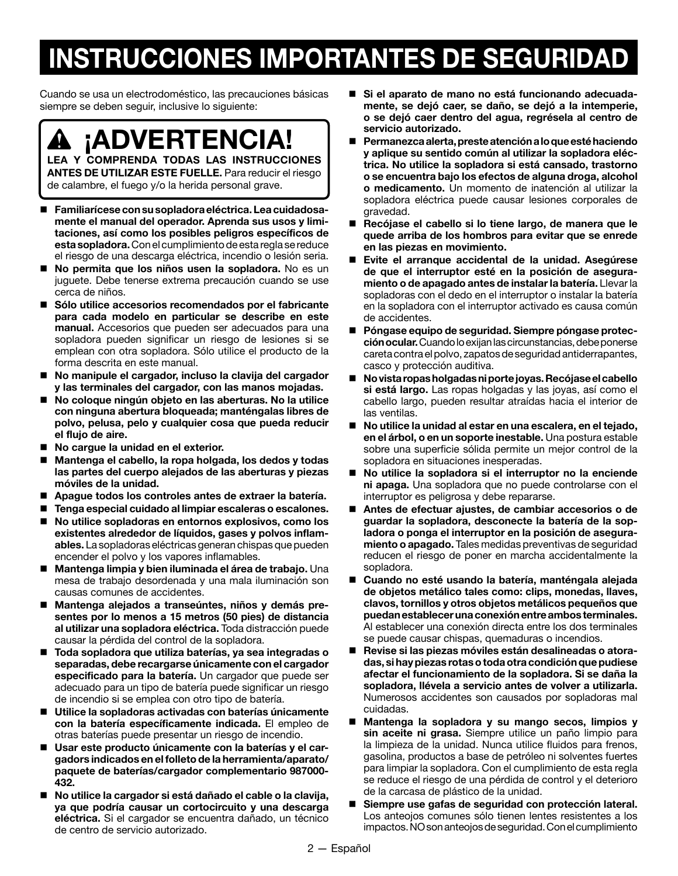## **INSTRUCCIONES IMPORTANTES DE SEGURIDAD**

Cuando se usa un electrodoméstico, las precauciones básicas siempre se deben seguir, inclusive lo siguiente:

**¡ADVERTENCIA!**

**LEA Y COMPRENDA TODAS LAS INSTRUCCIONES ANTES DE UTILIZAR ESTE FUELLE.** Para reducir el riesgo de calambre, el fuego y/o la herida personal grave.

- **Familiarícese con su sopladora eléctrica. Lea cuidadosamente el manual del operador. Aprenda sus usos y limitaciones, así como los posibles peligros específicos de esta sopladora.** Con el cumplimiento de esta regla se reduce el riesgo de una descarga eléctrica, incendio o lesión seria.
- **No permita que los niños usen la sopladora.** No es un juguete. Debe tenerse extrema precaución cuando se use cerca de niños.
- **Sólo utilice accesorios recomendados por el fabricante para cada modelo en particular se describe en este manual.** Accesorios que pueden ser adecuados para una sopladora pueden significar un riesgo de lesiones si se emplean con otra sopladora. Sólo utilice el producto de la forma descrita en este manual.
- **No manipule el cargador, incluso la clavija del cargador y las terminales del cargador, con las manos mojadas.**
- No coloque ningún objeto en las aberturas. No la utilice **con ninguna abertura bloqueada; manténgalas libres de polvo, pelusa, pelo y cualquier cosa que pueda reducir el flujo de aire.**
- No cargue la unidad en el exterior.
- **Mantenga el cabello, la ropa holgada, los dedos y todas las partes del cuerpo alejados de las aberturas y piezas móviles de la unidad.**
- **Apague todos los controles antes de extraer la batería.**
- **Tenga especial cuidado al limpiar escaleras o escalones.**
- **No utilice sopladoras en entornos explosivos, como los existentes alrededor de líquidos, gases y polvos inflamables.** La sopladoras eléctricas generan chispas que pueden encender el polvo y los vapores inflamables.
- **Mantenga limpia y bien iluminada el área de trabajo.** Una mesa de trabajo desordenada y una mala iluminación son causas comunes de accidentes.
- Mantenga alejados a transeúntes, niños y demás pre**sentes por lo menos a 15 metros (50 pies) de distancia al utilizar una sopladora eléctrica.** Toda distracción puede causar la pérdida del control de la sopladora.
- **Toda sopladora que utiliza baterías, ya sea integradas o separadas, debe recargarse únicamente con el cargador especificado para la batería.** Un cargador que puede ser adecuado para un tipo de batería puede significar un riesgo de incendio si se emplea con otro tipo de batería.
- **Utilice la sopladoras activadas con baterías únicamente con la batería específicamente indicada.** El empleo de otras baterías puede presentar un riesgo de incendio.
- **Usar este producto únicamente con la baterías y el cargadors indicados en el folleto de la herramienta/aparato/ paquete de baterías/cargador complementario 987000- 432.**
- **No utilice la cargador si está dañado el cable o la clavija, ya que podría causar un cortocircuito y una descarga eléctrica.** Si el cargador se encuentra dañado, un técnico de centro de servicio autorizado.
- **Si el aparato de mano no está funcionando adecuadamente, se dejó caer, se daño, se dejó a la intemperie, o se dejó caer dentro del agua, regrésela al centro de servicio autorizado.**
- **Permanezca alerta, preste atención a lo que esté haciendo y aplique su sentido común al utilizar la sopladora eléctrica. No utilice la sopladora si está cansado, trastorno o se encuentra bajo los efectos de alguna droga, alcohol o medicamento.** Un momento de inatención al utilizar la sopladora eléctrica puede causar lesiones corporales de gravedad.
- **Recójase el cabello si lo tiene largo, de manera que le quede arriba de los hombros para evitar que se enrede en las piezas en movimiento.**
- **Evite el arranque accidental de la unidad. Asegúrese de que el interruptor esté en la posición de aseguramiento o de apagado antes de instalar la batería.** Llevar la sopladoras con el dedo en el interruptor o instalar la batería en la sopladora con el interruptor activado es causa común de accidentes.
- **Póngase equipo de seguridad. Siempre póngase protección ocular.** Cuando lo exijan las circunstancias, debe ponerse careta contra el polvo, zapatos de seguridad antiderrapantes, casco y protección auditiva.
- **No vista ropas holgadas ni porte joyas. Recójase el cabello si está largo.** Las ropas holgadas y las joyas, así como el cabello largo, pueden resultar atraídas hacia el interior de las ventilas.
- No utilice la unidad al estar en una escalera, en el tejado, **en el árbol, o en un soporte inestable.** Una postura estable sobre una superficie sólida permite un mejor control de la sopladora en situaciones inesperadas.
- No utilice la sopladora si el interruptor no la enciende **ni apaga.** Una sopladora que no puede controlarse con el interruptor es peligrosa y debe repararse.
- **Antes de efectuar ajustes, de cambiar accesorios o de guardar la sopladora, desconecte la batería de la sopladora o ponga el interruptor en la posición de aseguramiento o apagado.** Tales medidas preventivas de seguridad reducen el riesgo de poner en marcha accidentalmente la sopladora.
- **Cuando no esté usando la batería, manténgala alejada de objetos metálico tales como: clips, monedas, llaves, clavos, tornillos y otros objetos metálicos pequeños que puedan establecer una conexión entre ambos terminales.**  Al establecer una conexión directa entre los dos terminales se puede causar chispas, quemaduras o incendios.
- **Revise si las piezas móviles están desalineadas o atoradas, si hay piezas rotas o toda otra condición que pudiese afectar el funcionamiento de la sopladora. Si se daña la sopladora, llévela a servicio antes de volver a utilizarla.** Numerosos accidentes son causados por sopladoras mal cuidadas.
- **Mantenga la sopladora y su mango secos, limpios y sin aceite ni grasa.** Siempre utilice un paño limpio para la limpieza de la unidad. Nunca utilice fluidos para frenos, gasolina, productos a base de petróleo ni solventes fuertes para limpiar la sopladora. Con el cumplimiento de esta regla se reduce el riesgo de una pérdida de control y el deterioro de la carcasa de plástico de la unidad.
- Siempre use gafas de seguridad con protección lateral. Los anteojos comunes sólo tienen lentes resistentes a los impactos. NO son anteojos de seguridad. Con el cumplimiento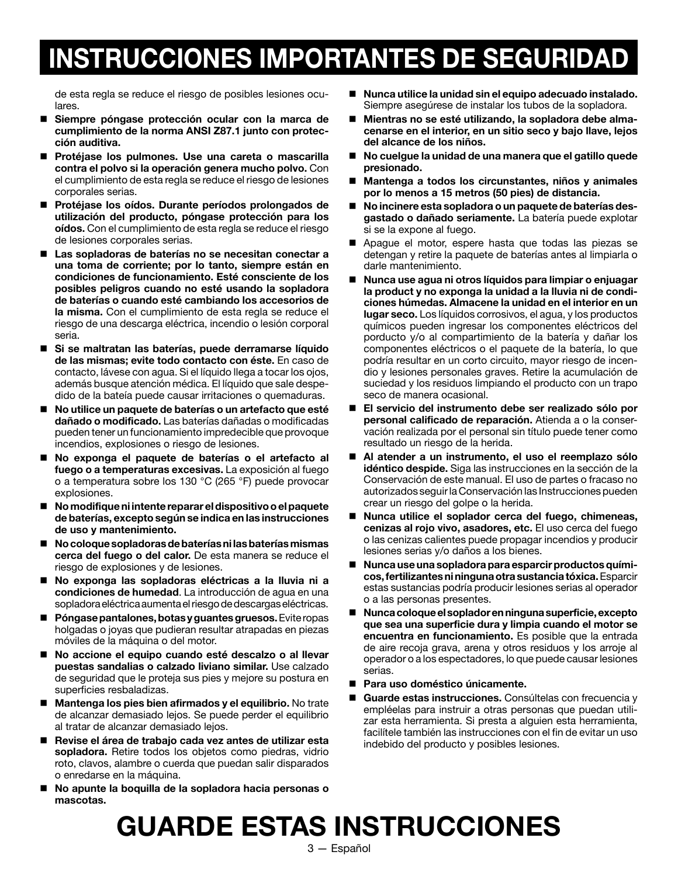## **INSTRUCCIONES IMPORTANTES DE SEGURIDAD**

de esta regla se reduce el riesgo de posibles lesiones oculares.

- **Siempre póngase protección ocular con la marca de cumplimiento de la norma ANSI Z87.1 junto con protección auditiva.**
- **Protéjase los pulmones. Use una careta o mascarilla contra el polvo si la operación genera mucho polvo.** Con el cumplimiento de esta regla se reduce el riesgo de lesiones corporales serias.
- **Protéjase los oídos. Durante períodos prolongados de utilización del producto, póngase protección para los oídos.** Con el cumplimiento de esta regla se reduce el riesgo de lesiones corporales serias.
- **Las sopladoras de baterías no se necesitan conectar a una toma de corriente; por lo tanto, siempre están en condiciones de funcionamiento. Esté consciente de los posibles peligros cuando no esté usando la sopladora de baterías o cuando esté cambiando los accesorios de la misma.** Con el cumplimiento de esta regla se reduce el riesgo de una descarga eléctrica, incendio o lesión corporal seria.
- **Si se maltratan las baterías, puede derramarse líquido de las mismas; evite todo contacto con éste.** En caso de contacto, lávese con agua. Si el líquido llega a tocar los ojos, además busque atención médica. El líquido que sale despedido de la bateía puede causar irritaciones o quemaduras.
- **No utilice un paquete de baterías o un artefacto que esté dañado o modificado.** Las baterías dañadas o modificadas pueden tener un funcionamiento impredecible que provoque incendios, explosiones o riesgo de lesiones.
- **No exponga el paquete de baterías o el artefacto al fuego o a temperaturas excesivas.** La exposición al fuego o a temperatura sobre los 130 °C (265 °F) puede provocar explosiones.
- **No modifique ni intente reparar el dispositivo o el paquete de baterías, excepto según se indica en las instrucciones de uso y mantenimiento.**
- **No coloque sopladoras de baterías ni las baterías mismas cerca del fuego o del calor.** De esta manera se reduce el riesgo de explosiones y de lesiones.
- **No exponga las sopladoras eléctricas a la lluvia ni a condiciones de humedad**. La introducción de agua en una sopladora eléctrica aumenta el riesgo de descargas eléctricas.
- **Póngase pantalones, botas y guantes gruesos.** Evite ropas holgadas o joyas que pudieran resultar atrapadas en piezas móviles de la máquina o del motor.
- **No accione el equipo cuando esté descalzo o al llevar puestas sandalias o calzado liviano similar.** Use calzado de seguridad que le proteja sus pies y mejore su postura en superficies resbaladizas.
- **Mantenga los pies bien afirmados y el equilibrio.** No trate de alcanzar demasiado lejos. Se puede perder el equilibrio al tratar de alcanzar demasiado lejos.
- **Revise el área de trabajo cada vez antes de utilizar esta sopladora.** Retire todos los objetos como piedras, vidrio roto, clavos, alambre o cuerda que puedan salir disparados o enredarse en la máquina.
- **No apunte la boquilla de la sopladora hacia personas o mascotas.**
- Nunca utilice la unidad sin el equipo adecuado instalado. Siempre asegúrese de instalar los tubos de la sopladora.
- **Mientras no se esté utilizando, la sopladora debe almacenarse en el interior, en un sitio seco y bajo llave, lejos del alcance de los niños.**
- **No cuelgue la unidad de una manera que el gatillo quede presionado.**
- **Mantenga a todos los circunstantes, niños y animales por lo menos a 15 metros (50 pies) de distancia.**
- **No incinere esta sopladora o un paquete de baterías desgastado o dañado seriamente.** La batería puede explotar si se la expone al fuego.
- Apague el motor, espere hasta que todas las piezas se detengan y retire la paquete de baterías antes al limpiarla o darle mantenimiento.
- **Nunca use agua ni otros líquidos para limpiar o enjuagar la product y no exponga la unidad a la lluvia ni de condiciones húmedas. Almacene la unidad en el interior en un lugar seco.** Los líquidos corrosivos, el agua, y los productos químicos pueden ingresar los componentes eléctricos del porducto y/o al compartimiento de la batería y dañar los componentes eléctricos o el paquete de la batería, lo que podría resultar en un corto circuito, mayor riesgo de incendio y lesiones personales graves. Retire la acumulación de suciedad y los residuos limpiando el producto con un trapo seco de manera ocasional.
- **El servicio del instrumento debe ser realizado sólo por personal calificado de reparación.** Atienda a o la conservación realizada por el personal sin título puede tener como resultado un riesgo de la herida.
- **Al atender a un instrumento, el uso el reemplazo sólo idéntico despide.** Siga las instrucciones en la sección de la Conservación de este manual. El uso de partes o fracaso no autorizados seguir la Conservación las Instrucciones pueden crear un riesgo del golpe o la herida.
- **Nunca utilice el soplador cerca del fuego, chimeneas, cenizas al rojo vivo, asadores, etc.** El uso cerca del fuego o las cenizas calientes puede propagar incendios y producir lesiones serias y/o daños a los bienes.
- **Nunca use una sopladora para esparcir productos químicos, fertilizantes ni ninguna otra sustancia tóxica.** Esparcir estas sustancias podría producir lesiones serias al operador o a las personas presentes.
- **Nunca coloque el soplador en ninguna superficie, excepto que sea una superficie dura y limpia cuando el motor se encuentra en funcionamiento.** Es posible que la entrada de aire recoja grava, arena y otros residuos y los arroje al operador o a los espectadores, lo que puede causar lesiones serias.
- **Para uso doméstico únicamente.**
- **Guarde estas instrucciones.** Consúltelas con frecuencia y empléelas para instruir a otras personas que puedan utilizar esta herramienta. Si presta a alguien esta herramienta, facilítele también las instrucciones con el fin de evitar un uso indebido del producto y posibles lesiones.

## **GUARDE ESTAS INSTRUCCIONES**

3 — Español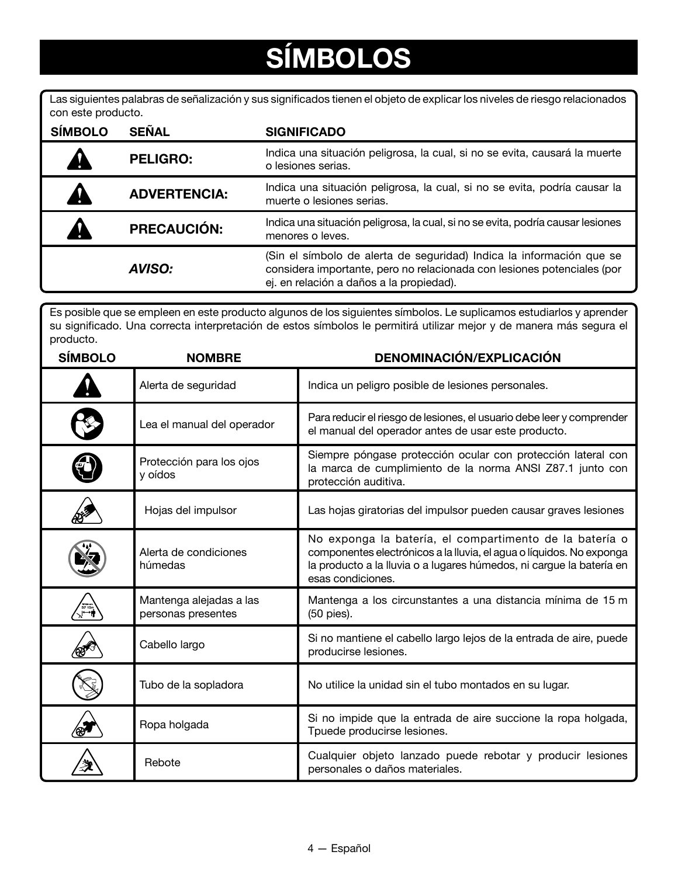# **SÍMBOLOS**

Las siguientes palabras de señalización y sus significados tienen el objeto de explicar los niveles de riesgo relacionados con este producto.

| <b>SÍMBOLO</b> | <b>SEÑAL</b>        | <b>SIGNIFICADO</b>                                                                                                                                                                          |
|----------------|---------------------|---------------------------------------------------------------------------------------------------------------------------------------------------------------------------------------------|
|                | <b>PELIGRO:</b>     | Indica una situación peligrosa, la cual, si no se evita, causará la muerte<br>o lesiones serias.                                                                                            |
|                | <b>ADVERTENCIA:</b> | Indica una situación peligrosa, la cual, si no se evita, podría causar la<br>muerte o lesiones serias.                                                                                      |
|                | <b>PRECAUCIÓN:</b>  | Indica una situación peligrosa, la cual, si no se evita, podría causar lesiones<br>menores o leves.                                                                                         |
|                | <b>AVISO:</b>       | (Sin el símbolo de alerta de seguridad) Indica la información que se<br>considera importante, pero no relacionada con lesiones potenciales (por<br>ej. en relación a daños a la propiedad). |

Es posible que se empleen en este producto algunos de los siguientes símbolos. Le suplicamos estudiarlos y aprender su significado. Una correcta interpretación de estos símbolos le permitirá utilizar mejor y de manera más segura el producto.

| <b>SÍMBOLO</b> | <b>NOMBRE</b>                                 | <b>DENOMINACIÓN/EXPLICACIÓN</b>                                                                                                                                                                                              |
|----------------|-----------------------------------------------|------------------------------------------------------------------------------------------------------------------------------------------------------------------------------------------------------------------------------|
|                | Alerta de seguridad                           | Indica un peligro posible de lesiones personales.                                                                                                                                                                            |
|                | Lea el manual del operador                    | Para reducir el riesgo de lesiones, el usuario debe leer y comprender<br>el manual del operador antes de usar este producto.                                                                                                 |
|                | Protección para los ojos<br>y oídos           | Siempre póngase protección ocular con protección lateral con<br>la marca de cumplimiento de la norma ANSI Z87.1 junto con<br>protección auditiva.                                                                            |
|                | Hojas del impulsor                            | Las hojas giratorias del impulsor pueden causar graves lesiones                                                                                                                                                              |
|                | Alerta de condiciones<br>húmedas              | No exponga la batería, el compartimento de la batería o<br>componentes electrónicos a la lluvia, el agua o líquidos. No exponga<br>la producto a la lluvia o a lugares húmedos, ni cargue la batería en<br>esas condiciones. |
|                | Mantenga alejadas a las<br>personas presentes | Mantenga a los circunstantes a una distancia mínima de 15 m<br>(50 pies).                                                                                                                                                    |
|                | Cabello largo                                 | Si no mantiene el cabello largo lejos de la entrada de aire, puede<br>producirse lesiones.                                                                                                                                   |
|                | Tubo de la sopladora                          | No utilice la unidad sin el tubo montados en su lugar.                                                                                                                                                                       |
|                | Ropa holgada                                  | Si no impide que la entrada de aire succione la ropa holgada,<br>Tpuede producirse lesiones.                                                                                                                                 |
|                | Rebote                                        | Cualquier objeto lanzado puede rebotar y producir lesiones<br>personales o daños materiales.                                                                                                                                 |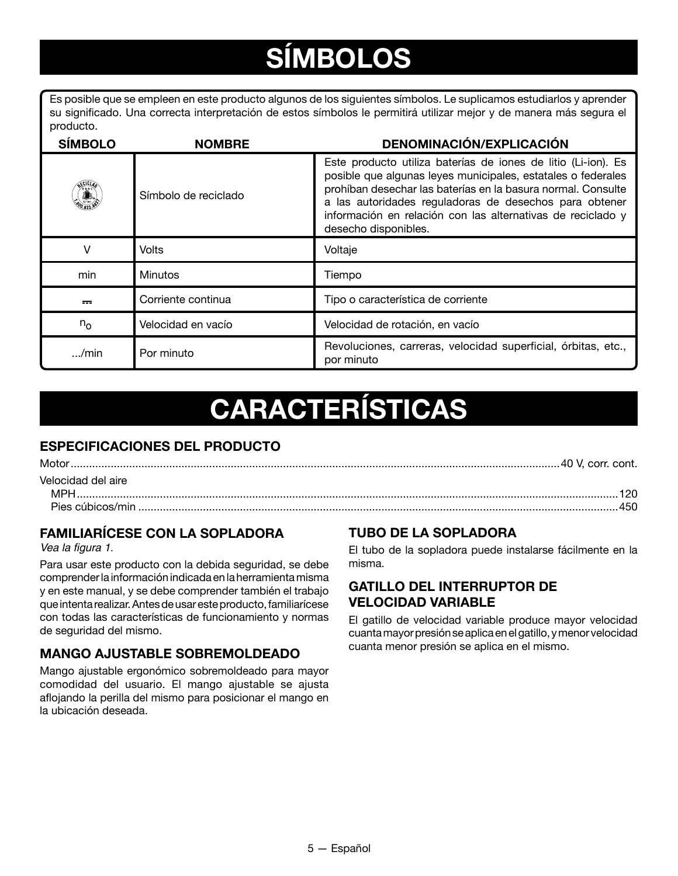# **SÍMBOLOS**

Es posible que se empleen en este producto algunos de los siguientes símbolos. Le suplicamos estudiarlos y aprender su significado. Una correcta interpretación de estos símbolos le permitirá utilizar mejor y de manera más segura el producto.

| <b>SÍMBOLO</b>  | <b>NOMBRE</b>        | <b>DENOMINACIÓN/EXPLICACIÓN</b>                                                                                                                                                                                                                                                                                                                |
|-----------------|----------------------|------------------------------------------------------------------------------------------------------------------------------------------------------------------------------------------------------------------------------------------------------------------------------------------------------------------------------------------------|
| <u>. (1954)</u> | Símbolo de reciclado | Este producto utiliza baterías de iones de litio (Li-ion). Es<br>posible que algunas leyes municipales, estatales o federales<br>prohíban desechar las baterías en la basura normal. Consulte<br>a las autoridades reguladoras de desechos para obtener<br>información en relación con las alternativas de reciclado y<br>desecho disponibles. |
| v               | Volts                | Voltaje                                                                                                                                                                                                                                                                                                                                        |
| min             | <b>Minutos</b>       | Tiempo                                                                                                                                                                                                                                                                                                                                         |
| $\overline{1}$  | Corriente continua   | Tipo o característica de corriente                                                                                                                                                                                                                                                                                                             |
| $n_{\rm o}$     | Velocidad en vacío   | Velocidad de rotación, en vacío                                                                                                                                                                                                                                                                                                                |
| $$ /min         | Por minuto           | Revoluciones, carreras, velocidad superficial, órbitas, etc.,<br>por minuto                                                                                                                                                                                                                                                                    |

## **CARACTERÍSTICAS**

### **ESPECIFICACIONES DEL PRODUCTO**

Motor...............................................................................................................................................................40 V, corr. cont. Velocidad del aire MPH................................................................................................................................................................................120 Pies cúbicos/min ............................................................................................................................................................450

### **FAMILIARÍCESE CON LA SOPLADORA**

Vea la figura 1.

Para usar este producto con la debida seguridad, se debe comprender la información indicada en la herramienta misma y en este manual, y se debe comprender también el trabajo que intenta realizar. Antes de usar este producto, familiarícese con todas las características de funcionamiento y normas de seguridad del mismo.

#### **MANGO AJUSTABLE SOBREMOLDEADO**

Mango ajustable ergonómico sobremoldeado para mayor comodidad del usuario. El mango ajustable se ajusta aflojando la perilla del mismo para posicionar el mango en la ubicación deseada.

### **TUBO DE LA SOPLADORA**

El tubo de la sopladora puede instalarse fácilmente en la misma.

#### **GATILLO DEL INTERRUPTOR DE VELOCIDAD VARIABLE**

El gatillo de velocidad variable produce mayor velocidad cuanta mayor presión se aplica en el gatillo, y menor velocidad cuanta menor presión se aplica en el mismo.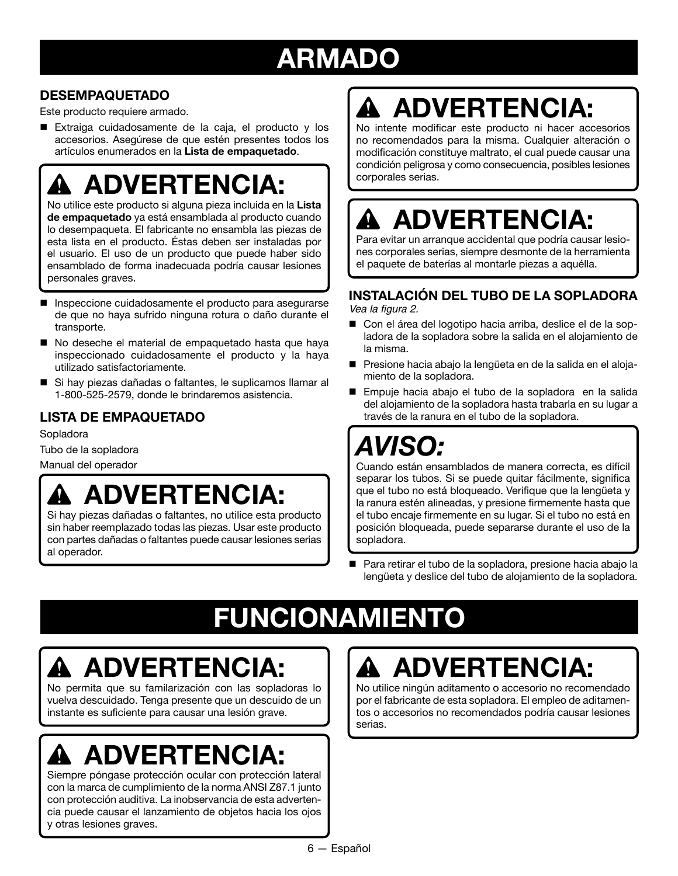## **ARMADO**

### **DESEMPAQUETADO**

Este producto requiere armado.

■ Extraiga cuidadosamente de la caja, el producto y los accesorios. Asegúrese de que estén presentes todos los artículos enumerados en la **Lista de empaquetado**.

# **ADVERTENCIA:**

No utilice este producto si alguna pieza incluida en la **Lista de empaquetado** ya está ensamblada al producto cuando lo desempaqueta. El fabricante no ensambla las piezas de esta lista en el producto. Éstas deben ser instaladas por el usuario. El uso de un producto que puede haber sido ensamblado de forma inadecuada podría causar lesiones personales graves.

- Inspeccione cuidadosamente el producto para asegurarse de que no haya sufrido ninguna rotura o daño durante el transporte.
- No deseche el material de empaquetado hasta que haya inspeccionado cuidadosamente el producto y la haya utilizado satisfactoriamente.
- Si hay piezas dañadas o faltantes, le suplicamos llamar al 1-800-525-2579, donde le brindaremos asistencia.

### **LISTA DE EMPAQUETADO**

Sopladora

Tubo de la sopladora

Manual del operador

### **ADVERTENCIA:**

Si hay piezas dañadas o faltantes, no utilice esta producto sin haber reemplazado todas las piezas. Usar este producto con partes dañadas o faltantes puede causar lesiones serias al operador.

# **ADVERTENCIA:**

No intente modificar este producto ni hacer accesorios no recomendados para la misma. Cualquier alteración o modificación constituye maltrato, el cual puede causar una condición peligrosa y como consecuencia, posibles lesiones corporales serias.

# **ADVERTENCIA:**

Para evitar un arranque accidental que podría causar lesiones corporales serias, siempre desmonte de la herramienta el paquete de baterías al montarle piezas a aquélla.

### **INSTALACIÓN DEL TUBO DE LA SOPLADORA**

Vea la figura 2.

- Con el área del logotipo hacia arriba, deslice el de la sopladora de la sopladora sobre la salida en el alojamiento de la misma.
- Presione hacia abajo la lengüeta en de la salida en el alojamiento de la sopladora.
- Empuje hacia abajo el tubo de la sopladora en la salida del alojamiento de la sopladora hasta trabarla en su lugar a través de la ranura en el tubo de la sopladora.

## *AVISO:*

Cuando están ensamblados de manera correcta, es difícil separar los tubos. Si se puede quitar fácilmente, significa que el tubo no está bloqueado. Verifique que la lengüeta y la ranura estén alineadas, y presione firmemente hasta que el tubo encaje firmemente en su lugar. Si el tubo no está en posición bloqueada, puede separarse durante el uso de la sopladora.

■ Para retirar el tubo de la sopladora, presione hacia abajo la lengüeta y deslice del tubo de alojamiento de la sopladora.

# **FUNCIONAMIENTO**

# **ADVERTENCIA:**

No permita que su familarización con las sopladoras lo vuelva descuidado. Tenga presente que un descuido de un instante es suficiente para causar una lesión grave.

# **ADVERTENCIA:**

Siempre póngase protección ocular con protección lateral con la marca de cumplimiento de la norma ANSI Z87.1 junto con protección auditiva. La inobservancia de esta advertencia puede causar el lanzamiento de objetos hacia los ojos y otras lesiones graves.

# **ADVERTENCIA:**

No utilice ningún aditamento o accesorio no recomendado por el fabricante de esta sopladora. El empleo de aditamentos o accesorios no recomendados podría causar lesiones serias.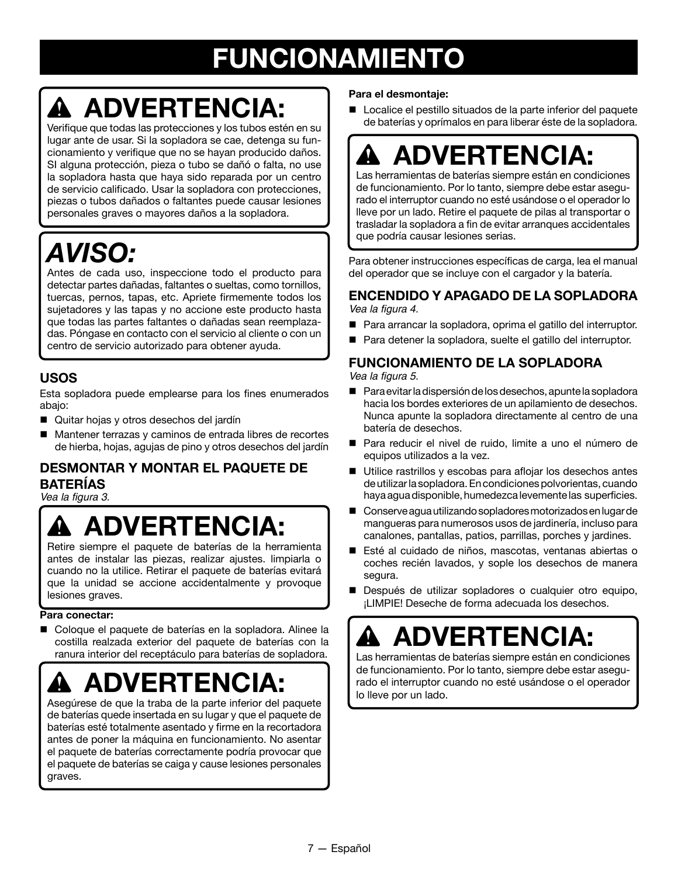## **FUNCIONAMIENTO**

# **ADVERTENCIA:**

Verifique que todas las protecciones y los tubos estén en su lugar ante de usar. Si la sopladora se cae, detenga su funcionamiento y verifique que no se hayan producido daños. SI alguna protección, pieza o tubo se dañó o falta, no use la sopladora hasta que haya sido reparada por un centro de servicio calificado. Usar la sopladora con protecciones, piezas o tubos dañados o faltantes puede causar lesiones personales graves o mayores daños a la sopladora.

## *AVISO:*

Antes de cada uso, inspeccione todo el producto para detectar partes dañadas, faltantes o sueltas, como tornillos, tuercas, pernos, tapas, etc. Apriete firmemente todos los sujetadores y las tapas y no accione este producto hasta que todas las partes faltantes o dañadas sean reemplazadas. Póngase en contacto con el servicio al cliente o con un centro de servicio autorizado para obtener ayuda.

### **USOS**

Esta sopladora puede emplearse para los fines enumerados abajo:

- Quitar hojas y otros desechos del jardín
- Mantener terrazas y caminos de entrada libres de recortes de hierba, hojas, agujas de pino y otros desechos del jardín

### **DESMONTAR Y MONTAR EL PAQUETE DE BATERÍAS**

Vea la figura 3.

## **ADVERTENCIA:**

Retire siempre el paquete de baterías de la herramienta antes de instalar las piezas, realizar ajustes. limpiarla o cuando no la utilice. Retirar el paquete de baterías evitará que la unidad se accione accidentalmente y provoque lesiones graves.

#### **Para conectar:**

■ Coloque el paquete de baterías en la sopladora. Alinee la costilla realzada exterior del paquete de baterías con la ranura interior del receptáculo para baterías de sopladora.

# **ADVERTENCIA:**

Asegúrese de que la traba de la parte inferior del paquete de baterías quede insertada en su lugar y que el paquete de baterías esté totalmente asentado y firme en la recortadora antes de poner la máquina en funcionamiento. No asentar el paquete de baterías correctamente podría provocar que el paquete de baterías se caiga y cause lesiones personales graves.

#### **Para el desmontaje:**

■ Localice el pestillo situados de la parte inferior del paquete de baterías y oprímalos en para liberar éste de la sopladora.

## **ADVERTENCIA:**

Las herramientas de baterías siempre están en condiciones de funcionamiento. Por lo tanto, siempre debe estar asegurado el interruptor cuando no esté usándose o el operador lo lleve por un lado. Retire el paquete de pilas al transportar o trasladar la sopladora a fin de evitar arranques accidentales que podría causar lesiones serias.

Para obtener instrucciones específicas de carga, lea el manual del operador que se incluye con el cargador y la batería.

#### **ENCENDIDO Y APAGADO DE LA SOPLADORA** Vea la figura 4.

- Para arrancar la sopladora, oprima el gatillo del interruptor.
- Para detener la sopladora, suelte el gatillo del interruptor.

#### **FUNCIONAMIENTO DE LA SOPLADORA**

Vea la figura 5.

- $\blacksquare$  Para evitar la dispersión de los desechos, apunte la sopladora hacia los bordes exteriores de un apilamiento de desechos. Nunca apunte la sopladora directamente al centro de una batería de desechos.
- Para reducir el nivel de ruido, limite a uno el número de equipos utilizados a la vez.
- Utilice rastrillos y escobas para aflojar los desechos antes de utilizar la sopladora. En condiciones polvorientas, cuando haya agua disponible, humedezca levemente las superficies.
- n Conserve agua utilizando sopladores motorizados en lugar de mangueras para numerosos usos de jardinería, incluso para canalones, pantallas, patios, parrillas, porches y jardines.
- Esté al cuidado de niños, mascotas, ventanas abiertas o coches recién lavados, y sople los desechos de manera segura.
- Después de utilizar sopladores o cualquier otro equipo, ¡LIMPIE! Deseche de forma adecuada los desechos.

## **ADVERTENCIA:**

Las herramientas de baterías siempre están en condiciones de funcionamiento. Por lo tanto, siempre debe estar asegurado el interruptor cuando no esté usándose o el operador lo lleve por un lado.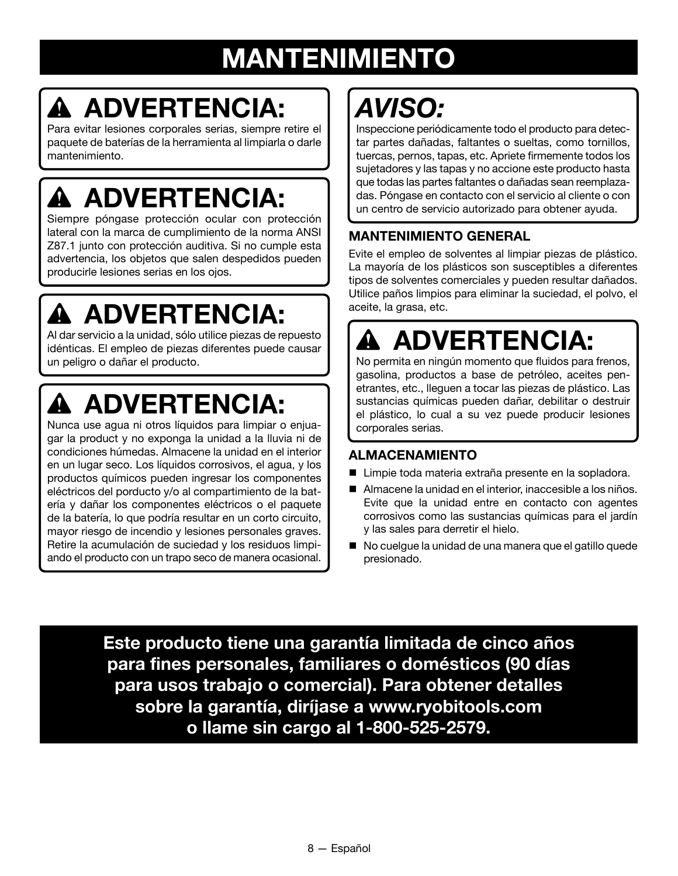## **MANTENIMIENTO**

# **ADVERTENCIA:**

Para evitar lesiones corporales serias, siempre retire el paquete de baterías de la herramienta al limpiarla o darle mantenimiento.

# **ADVERTENCIA:**

Siempre póngase protección ocular con protección lateral con la marca de cumplimiento de la norma ANSI Z87.1 junto con protección auditiva. Si no cumple esta advertencia, los objetos que salen despedidos pueden producirle lesiones serias en los ojos.

# **ADVERTENCIA:**

Al dar servicio a la unidad, sólo utilice piezas de repuesto idénticas. El empleo de piezas diferentes puede causar un peligro o dañar el producto.

# **ADVERTENCIA:**

Nunca use agua ni otros líquidos para limpiar o enjuagar la product y no exponga la unidad a la lluvia ni de condiciones húmedas. Almacene la unidad en el interior en un lugar seco. Los líquidos corrosivos, el agua, y los productos químicos pueden ingresar los componentes eléctricos del porducto y/o al compartimiento de la batería y dañar los componentes eléctricos o el paquete de la batería, lo que podría resultar en un corto circuito, mayor riesgo de incendio y lesiones personales graves. Retire la acumulación de suciedad y los residuos limpiando el producto con un trapo seco de manera ocasional.

# *AVISO:*

Inspeccione periódicamente todo el producto para detectar partes dañadas, faltantes o sueltas, como tornillos, tuercas, pernos, tapas, etc. Apriete firmemente todos los sujetadores y las tapas y no accione este producto hasta que todas las partes faltantes o dañadas sean reemplazadas. Póngase en contacto con el servicio al cliente o con un centro de servicio autorizado para obtener ayuda.

### **MANTENIMIENTO GENERAL**

Evite el empleo de solventes al limpiar piezas de plástico. La mayoría de los plásticos son susceptibles a diferentes tipos de solventes comerciales y pueden resultar dañados. Utilice paños limpios para eliminar la suciedad, el polvo, el aceite, la grasa, etc.

# **ADVERTENCIA:**

No permita en ningún momento que fluidos para frenos, gasolina, productos a base de petróleo, aceites penetrantes, etc., lleguen a tocar las piezas de plástico. Las sustancias químicas pueden dañar, debilitar o destruir el plástico, lo cual a su vez puede producir lesiones corporales serias.

### **ALMACENAMIENTO**

- Limpie toda materia extraña presente en la sopladora.
- Almacene la unidad en el interior, inaccesible a los niños. Evite que la unidad entre en contacto con agentes corrosivos como las sustancias químicas para el jardín y las sales para derretir el hielo.
- n No cuelgue la unidad de una manera que el gatillo quede presionado.

**Este producto tiene una garantía limitada de cinco años para fines personales, familiares o domésticos (90 días para usos trabajo o comercial). Para obtener detalles sobre la garantía, diríjase a www.ryobitools.com o llame sin cargo al 1-800-525-2579.**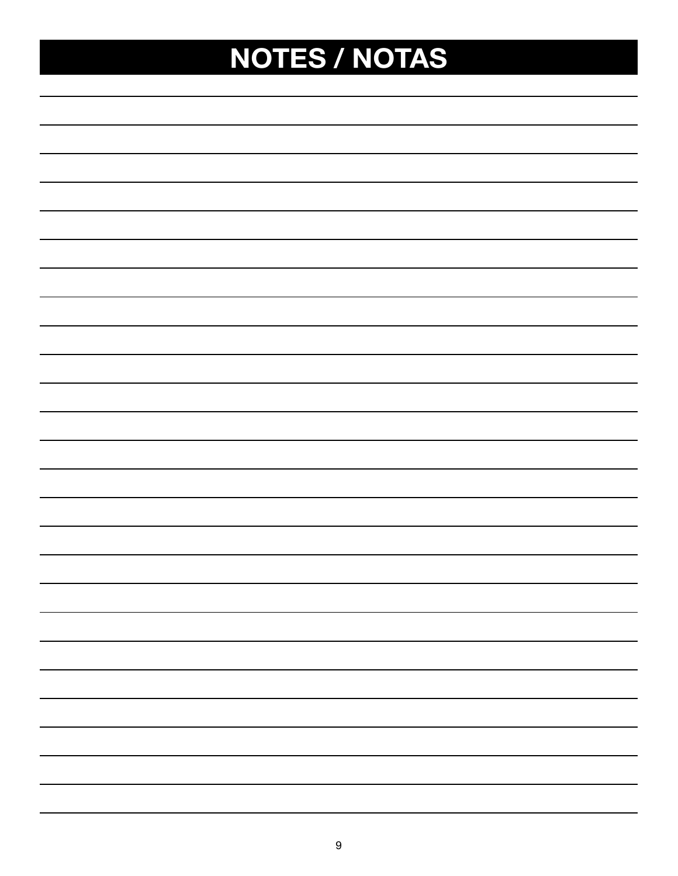# **NOTES / NOTAS**